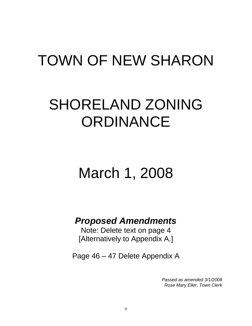# TOWN OF NEW SHARON

# SHORELAND ZONING **ORDINANCE**

# March 1, 2008

# *Proposed Amendments*

Note: Delete text on page 4 [Alternatively to Appendix A.]

Page 46 – 47 Delete Appendix A

*Passed as amended 3/1/2008 Rose Mary Eller, Town Clerk*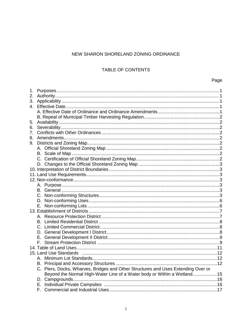### NEW SHARON SHORELAND ZONING ORDINANCE

## TABLE OF CONTENTS

## Page

| 5.             |                                                                                   |  |
|----------------|-----------------------------------------------------------------------------------|--|
| 6.             |                                                                                   |  |
| 7 <sub>1</sub> |                                                                                   |  |
|                |                                                                                   |  |
|                |                                                                                   |  |
|                |                                                                                   |  |
|                |                                                                                   |  |
|                |                                                                                   |  |
|                |                                                                                   |  |
|                |                                                                                   |  |
|                |                                                                                   |  |
|                |                                                                                   |  |
|                |                                                                                   |  |
|                |                                                                                   |  |
|                |                                                                                   |  |
|                |                                                                                   |  |
|                |                                                                                   |  |
|                |                                                                                   |  |
|                |                                                                                   |  |
|                |                                                                                   |  |
|                |                                                                                   |  |
|                |                                                                                   |  |
|                |                                                                                   |  |
|                |                                                                                   |  |
|                |                                                                                   |  |
|                |                                                                                   |  |
|                |                                                                                   |  |
|                |                                                                                   |  |
|                | C. Piers, Docks, Wharves, Bridges and Other Structures and Uses Extending Over or |  |
|                | Beyond the Normal High-Water Line of a Water body or Within a Wetland15           |  |
|                |                                                                                   |  |
|                |                                                                                   |  |
|                |                                                                                   |  |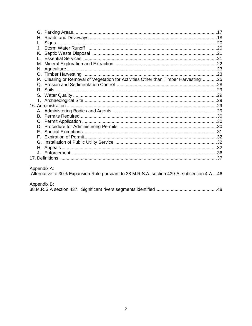| L.          |                                                                                     |  |
|-------------|-------------------------------------------------------------------------------------|--|
| . L         |                                                                                     |  |
|             |                                                                                     |  |
|             |                                                                                     |  |
|             |                                                                                     |  |
|             |                                                                                     |  |
|             |                                                                                     |  |
|             | P. Clearing or Removal of Vegetation for Activities Other than Timber Harvesting 25 |  |
|             |                                                                                     |  |
|             |                                                                                     |  |
|             |                                                                                     |  |
|             |                                                                                     |  |
|             |                                                                                     |  |
|             |                                                                                     |  |
|             |                                                                                     |  |
|             |                                                                                     |  |
|             |                                                                                     |  |
| Е.          |                                                                                     |  |
|             |                                                                                     |  |
|             |                                                                                     |  |
|             |                                                                                     |  |
|             |                                                                                     |  |
|             |                                                                                     |  |
|             |                                                                                     |  |
| Appendix A: |                                                                                     |  |

Appendix A:<br>Alternative to 30% Expansion Rule pursuant to 38 M.R.S.A. section 439-A, subsection 4-A ...46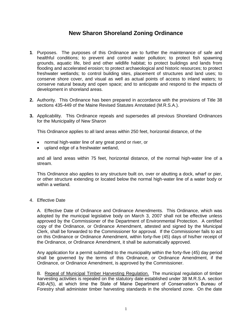# **New Sharon Shoreland Zoning Ordinance**

- **1**. Purposes. The purposes of this Ordinance are to further the maintenance of safe and healthful conditions; to prevent and control water pollution; to protect fish spawning grounds, aquatic life, bird and other wildlife habitat; to protect buildings and lands from flooding and accelerated erosion; to protect archaeological and historic resources; to protect freshwater wetlands; to control building sites, placement of structures and land uses; to conserve shore cover, and visual as well as actual points of access to inland waters; to conserve natural beauty and open space; and to anticipate and respond to the impacts of development in shoreland areas.
- **2.** Authority. This Ordinance has been prepared in accordance with the provisions of Title 38 sections 435-449 of the Maine Revised Statutes Annotated (M.R.S.A.).
- **3.** Applicability. This Ordinance repeals and supersedes all previous Shoreland Ordinances for the Municipality of New Sharon

This Ordinance applies to all land areas within 250 feet, horizontal distance, of the

- normal high-water line of any great pond or river, or
- upland edge of a freshwater wetland.

and all land areas within 75 feet, horizontal distance, of the normal high-water line of a stream.

This Ordinance also applies to any structure built on, over or abutting a dock, wharf or pier, or other structure extending or located below the normal high-water line of a water body or within a wetland.

4. Effective Date

A. Effective Date of Ordinance and Ordinance Amendments. This Ordinance, which was adopted by the municipal legislative body on March 3, 2007 shall not be effective unless approved by the Commissioner of the Department of Environmental Protection. A certified copy of the Ordinance, or Ordinance Amendment, attested and signed by the Municipal Clerk, shall be forwarded to the Commissioner for approval. If the Commissioner fails to act on this Ordinance or Ordinance Amendment, within forty-five (45) days of his/her receipt of the Ordinance, or Ordinance Amendment, it shall be automatically approved.

Any application for a permit submitted to the municipality within the forty-five (45) day period shall be governed by the terms of this Ordinance, or Ordinance Amendment, if the Ordinance, or Ordinance Amendment, is approved by the Commissioner.

B. Repeal of Municipal Timber Harvesting Regulation. The municipal regulation of timber harvesting activities is repealed on the statutory date established under 38 M.R.S.A. section 438-A(5), at which time the State of Maine Department of Conservation's Bureau of Forestry shall administer timber harvesting standards in the shoreland zone. On the date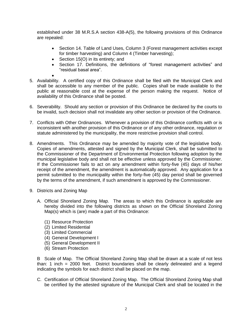established under 38 M.R.S.A section 438-A(5), the following provisions of this Ordinance are repealed:

- Section 14. Table of Land Uses, Column 3 (Forest management activities except for timber harvesting) and Column 4 (Timber harvesting);
- Section 15(O) in its entirety; and
- Section 17. Definitions, the definitions of "forest management activities" and "residual basal area".
- 5. Availability. A certified copy of this Ordinance shall be filed with the Municipal Clerk and shall be accessible to any member of the public. Copies shall be made available to the public at reasonable cost at the expense of the person making the request. Notice of availability of this Ordinance shall be posted.
- 6. Severability. Should any section or provision of this Ordinance be declared by the courts to be invalid, such decision shall not invalidate any other section or provision of the Ordinance.
- 7. Conflicts with Other Ordinances. Whenever a provision of this Ordinance conflicts with or is inconsistent with another provision of this Ordinance or of any other ordinance, regulation or statute administered by the municipality, the more restrictive provision shall control.
- 8. Amendments. This Ordinance may be amended by majority vote of the legislative body. Copies of amendments, attested and signed by the Municipal Clerk, shall be submitted to the Commissioner of the Department of Environmental Protection following adoption by the municipal legislative body and shall not be effective unless approved by the Commissioner. If the Commissioner fails to act on any amendment within forty-five (45) days of his/her receipt of the amendment, the amendment is automatically approved. Any application for a permit submitted to the municipality within the forty-five (45) day period shall be governed by the terms of the amendment, if such amendment is approved by the Commissioner.
- 9. Districts and Zoning Map
	- A. Official Shoreland Zoning Map. The areas to which this Ordinance is applicable are hereby divided into the following districts as shown on the Official Shoreland Zoning Map(s) which is (are) made a part of this Ordinance:
		- (1) Resource Protection
		- (2) Limited Residential
		- (3) Limited Commercial
		- (4) General Development I
		- (5) General Development II
		- (6) Stream Protection

B Scale of Map. The Official Shoreland Zoning Map shall be drawn at a scale of not less than: 1 inch = 2000 feet. District boundaries shall be clearly delineated and a legend indicating the symbols for each district shall be placed on the map.

C. Certification of Official Shoreland Zoning Map. The Official Shoreland Zoning Map shall be certified by the attested signature of the Municipal Clerk and shall be located in the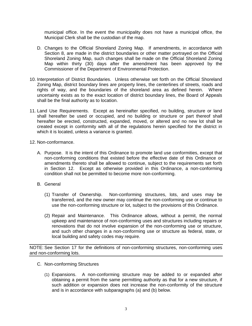municipal office. In the event the municipality does not have a municipal office, the Municipal Clerk shall be the custodian of the map.

- D. Changes to the Official Shoreland Zoning Map. If amendments, in accordance with Section 8, are made in the district boundaries or other matter portrayed on the Official Shoreland Zoning Map, such changes shall be made on the Official Shoreland Zoning Map within thirty (30) days after the amendment has been approved by the Commissioner of the Department of Environmental Protection.
- 10. Interpretation of District Boundaries. Unless otherwise set forth on the Official Shoreland Zoning Map, district boundary lines are property lines, the centerlines of streets, roads and rights of way, and the boundaries of the shoreland area as defined herein. Where uncertainty exists as to the exact location of district boundary lines, the Board of Appeals shall be the final authority as to location.
- 11. Land Use Requirements. Except as hereinafter specified, no building, structure or land shall hereafter be used or occupied, and no building or structure or part thereof shall hereafter be erected, constructed, expanded, moved, or altered and no new lot shall be created except in conformity with all of the regulations herein specified for the district in which it is located, unless a variance is granted.
- 12. Non-conformance.
	- A. Purpose. It is the intent of this Ordinance to promote land use conformities, except that non-conforming conditions that existed before the effective date of this Ordinance or amendments thereto shall be allowed to continue, subject to the requirements set forth in Section 12. Except as otherwise provided in this Ordinance, a non-conforming condition shall not be permitted to become more non-conforming.
	- B. General
		- (1) Transfer of Ownership. Non-conforming structures, lots, and uses may be transferred, and the new owner may continue the non-conforming use or continue to use the non-conforming structure or lot, subject to the provisions of this Ordinance.
		- (2) Repair and Maintenance. This Ordinance allows, without a permit, the normal upkeep and maintenance of non-conforming uses and structures including repairs or renovations that do not involve expansion of the non-conforming use or structure, and such other changes in a non-conforming use or structure as federal, state, or local building and safety codes may require.

NOTE: See Section 17 for the definitions of non-conforming structures, non-conforming uses and non-conforming lots.

- C. Non-conforming Structures
	- (1) Expansions. A non-conforming structure may be added to or expanded after obtaining a permit from the same permitting authority as that for a new structure, if such addition or expansion does not increase the non-conformity of the structure and is in accordance with subparagraphs (a) and (b) below.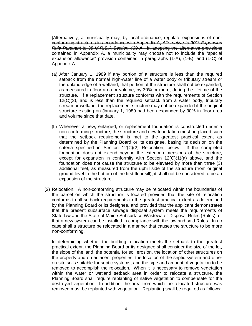[Alternatively, a municipality may, by local ordinance, regulate expansions of nonconforming structures in accordance with Appendix A, *Alternative to 30% Expansion Rule Pursuant to 38 M.R.S.A Section 439-A*. In adopting the alternative provisions contained in Appendix A, a municipality may choose not to include the "special expansion allowance" provision contained in paragraphs (1-A), (1-B), and (1-C) of Appendix A.]

- (a) After January 1, 1989 if any portion of a structure is less than the required setback from the normal high-water line of a water body or tributary stream or the upland edge of a wetland, that portion of the structure shall not be expanded, as measured in floor area or volume, by 30% or more, during the lifetime of the structure. If a replacement structure conforms with the requirements of Section 12(C)(3), and is less than the required setback from a water body, tributary stream or wetland, the replacement structure may not be expanded if the original structure existing on January 1, 1989 had been expanded by 30% in floor area and volume since that date.
- (b) Whenever a new, enlarged, or replacement foundation is constructed under a non-conforming structure, the structure and new foundation must be placed such that the setback requirement is met to the greatest practical extent as determined by the Planning Board or its designee, basing its decision on the criteria specified in Section 12(C)(2) Relocation, below. If the completed foundation does not extend beyond the exterior dimensions of the structure, except for expansion in conformity with Section  $12(C)(1)(a)$  above, and the foundation does not cause the structure to be elevated by more than three (3) additional feet, as measured from the uphill side of the structure (from original ground level to the bottom of the first floor sill), it shall not be considered to be an expansion of the structure.
- (2) Relocation. A non-conforming structure may be relocated within the boundaries of the parcel on which the structure is located provided that the site of relocation conforms to all setback requirements to the greatest practical extent as determined by the Planning Board or its designee, and provided that the applicant demonstrates that the present subsurface sewage disposal system meets the requirements of State law and the State of Maine Subsurface Wastewater Disposal Rules (Rules), or that a new system can be installed in compliance with the law and said Rules. In no case shall a structure be relocated in a manner that causes the structure to be more non-conforming.

In determining whether the building relocation meets the setback to the greatest practical extent, the Planning Board or its designee shall consider the size of the lot, the slope of the land, the potential for soil erosion, the location of other structures on the property and on adjacent properties, the location of the septic system and other on-site soils suitable for septic systems, and the type and amount of vegetation to be removed to accomplish the relocation. When it is necessary to remove vegetation within the water or wetland setback area in order to relocate a structure, the Planning Board shall require replanting of native vegetation to compensate for the destroyed vegetation. In addition, the area from which the relocated structure was removed must be replanted with vegetation. Replanting shall be required as follows: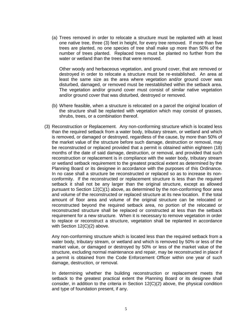(a) Trees removed in order to relocate a structure must be replanted with at least one native tree, three (3) feet in height, for every tree removed. If more than five trees are planted, no one species of tree shall make up more than 50% of the number of trees planted. Replaced trees must be planted no further from the water or wetland than the trees that were removed.

Other woody and herbaceous vegetation, and ground cover, that are removed or destroyed in order to relocate a structure must be re-established. An area at least the same size as the area where vegetation and/or ground cover was disturbed, damaged, or removed must be reestablished within the setback area. The vegetation and/or ground cover must consist of similar native vegetation and/or ground cover that was disturbed, destroyed or removed.

- (b) Where feasible, when a structure is relocated on a parcel the original location of the structure shall be replanted with vegetation which may consist of grasses, shrubs, trees, or a combination thereof.
- (3) Reconstruction or Replacement. Any non-conforming structure which is located less than the required setback from a water body, tributary stream, or wetland and which is removed, or damaged or destroyed, regardless of the cause, by more than 50% of the market value of the structure before such damage, destruction or removal, may be reconstructed or replaced provided that a permit is obtained within eighteen (18) months of the date of said damage, destruction, or removal, and provided that such reconstruction or replacement is in compliance with the water body, tributary stream or wetland setback requirement to the greatest practical extent as determined by the Planning Board or its designee in accordance with the purposes of this Ordinance. In no case shall a structure be reconstructed or replaced so as to increase its nonconformity. If the reconstructed or replacement structure is less than the required setback it shall not be any larger than the original structure, except as allowed pursuant to Section 12(C)(1) above, as determined by the non-conforming floor area and volume of the reconstructed or replaced structure at its new location. If the total amount of floor area and volume of the original structure can be relocated or reconstructed beyond the required setback area, no portion of the relocated or reconstructed structure shall be replaced or constructed at less than the setback requirement for a new structure. When it is necessary to remove vegetation in order to replace or reconstruct a structure, vegetation shall be replanted in accordance with Section 12(C)(2) above.

Any non-conforming structure which is located less than the required setback from a water body, tributary stream, or wetland and which is removed by 50% or less of the market value, or damaged or destroyed by 50% or less of the market value of the structure, excluding normal maintenance and repair, may be reconstructed in place if a permit is obtained from the Code Enforcement Officer within one year of such damage, destruction, or removal.

In determining whether the building reconstruction or replacement meets the setback to the greatest practical extent the Planning Board or its designee shall consider, in addition to the criteria in Section 12(C)(2) above, the physical condition and type of foundation present, if any.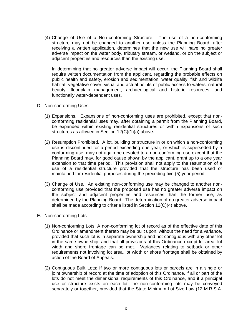(4) Change of Use of a Non-conforming Structure. The use of a non-conforming structure may not be changed to another use unless the Planning Board, after receiving a written application, determines that the new use will have no greater adverse impact on the water body, tributary stream, or wetland, or on the subject or adjacent properties and resources than the existing use.

In determining that no greater adverse impact will occur, the Planning Board shall require written documentation from the applicant, regarding the probable effects on public health and safety, erosion and sedimentation, water quality, fish and wildlife habitat, vegetative cover, visual and actual points of public access to waters, natural beauty, floodplain management, archaeological and historic resources, and functionally water-dependent uses.

- D. Non-conforming Uses
	- (1) Expansions. Expansions of non-conforming uses are prohibited, except that nonconforming residential uses may, after obtaining a permit from the Planning Board, be expanded within existing residential structures or within expansions of such structures as allowed in Section 12(C)(1)(a) above.
	- (2) Resumption Prohibited. A lot, building or structure in or on which a non-conforming use is discontinued for a period exceeding one year, or which is superseded by a conforming use, may not again be devoted to a non-conforming use except that the Planning Board may, for good cause shown by the applicant, grant up to a one year extension to that time period. This provision shall not apply to the resumption of a use of a residential structure provided that the structure has been used or maintained for residential purposes during the preceding five (5) year period.
	- (3) Change of Use. An existing non-conforming use may be changed to another nonconforming use provided that the proposed use has no greater adverse impact on the subject and adjacent properties and resources than the former use, as determined by the Planning Board. The determination of no greater adverse impact shall be made according to criteria listed in Section 12(C)(4) above.
- E. Non-conforming Lots
	- (1) Non-conforming Lots: A non-conforming lot of record as of the effective date of this Ordinance or amendment thereto may be built upon, without the need for a variance, provided that such lot is in separate ownership and not contiguous with any other lot in the same ownership, and that all provisions of this Ordinance except lot area, lot width and shore frontage can be met. Variances relating to setback or other requirements not involving lot area, lot width or shore frontage shall be obtained by action of the Board of Appeals.
	- (2) Contiguous Built Lots: If two or more contiguous lots or parcels are in a single or joint ownership of record at the time of adoption of this Ordinance, if all or part of the lots do not meet the dimensional requirements of this Ordinance, and if a principal use or structure exists on each lot, the non-conforming lots may be conveyed separately or together, provided that the State Minimum Lot Size Law (12 M.R.S.A.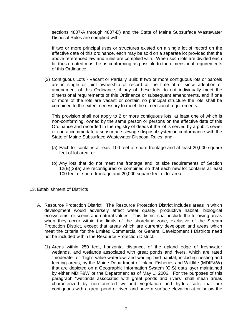sections 4807-A through 4807-D) and the State of Maine Subsurface Wastewater Disposal Rules are complied with.

If two or more principal uses or structures existed on a single lot of record on the effective date of this ordinance, each may be sold on a separate lot provided that the above referenced law and rules are complied with. When such lots are divided each lot thus created must be as conforming as possible to the dimensional requirements of this Ordinance.

(3) Contiguous Lots - Vacant or Partially Built: If two or more contiguous lots or parcels are in single or joint ownership of record at the time of or since adoption or amendment of this Ordinance, if any of these lots do not individually meet the dimensional requirements of this Ordinance or subsequent amendments, and if one or more of the lots are vacant or contain no principal structure the lots shall be combined to the extent necessary to meet the dimensional requirements.

This provision shall not apply to 2 or more contiguous lots, at least one of which is non-conforming, owned by the same person or persons on the effective date of this Ordinance and recorded in the registry of deeds if the lot is served by a public sewer or can accommodate a subsurface sewage disposal system in conformance with the State of Maine Subsurface Wastewater Disposal Rules; and

- (a) Each lot contains at least 100 feet of shore frontage and at least 20,000 square feet of lot area; or
- (b) Any lots that do not meet the frontage and lot size requirements of Section 12(E)(3)(a) are reconfigured or combined so that each new lot contains at least 100 feet of shore frontage and 20,000 square feet of lot area.
- 13. Establishment of Districts
	- A. Resource Protection District. The Resource Protection District includes areas in which development would adversely affect water quality, productive habitat, biological ecosystems, or scenic and natural values. This district shall include the following areas when they occur within the limits of the shoreland zone, exclusive of the Stream Protection District, except that areas which are currently developed and areas which meet the criteria for the Limited Commercial or General Development I Districts need not be included within the Resource Protection District.
		- (1) Areas within 250 feet, horizontal distance, of the upland edge of freshwater wetlands, and wetlands associated with great ponds and rivers, which are rated "moderate" or "high" value waterfowl and wading bird habitat, including nesting and feeding areas, by the Maine Department of Inland Fisheries and Wildlife (MDIF&W) that are depicted on a Geographic Information System (GIS) data layer maintained by either MDIF&W or the Department as of May 1, 2006. For the purposes of this paragraph "wetlands associated with great ponds and rivers" shall mean areas characterized by non-forested wetland vegetation and hydric soils that are contiguous with a great pond or river, and have a surface elevation at or below the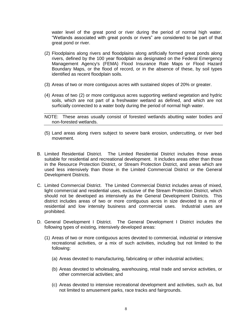water level of the great pond or river during the period of normal high water. "Wetlands associated with great ponds or rivers" are considered to be part of that great pond or river.

- (2) Floodplains along rivers and floodplains along artificially formed great ponds along rivers, defined by the 100 year floodplain as designated on the Federal Emergency Management Agency's (FEMA) Flood Insurance Rate Maps or Flood Hazard Boundary Maps, or the flood of record, or in the absence of these, by soil types identified as recent floodplain soils.
- (3) Areas of two or more contiguous acres with sustained slopes of 20% or greater.
- (4) Areas of two (2) or more contiguous acres supporting wetland vegetation and hydric soils, which are not part of a freshwater wetland as defined, and which are not surficially connected to a water body during the period of normal high water.
- NOTE: These areas usually consist of forested wetlands abutting water bodies and non-forested wetlands.
- (5) Land areas along rivers subject to severe bank erosion, undercutting, or river bed movement.
- B. Limited Residential District. The Limited Residential District includes those areas suitable for residential and recreational development. It includes areas other than those in the Resource Protection District, or Stream Protection District, and areas which are used less intensively than those in the Limited Commercial District or the General Development Districts.
- C. Limited Commercial District. The Limited Commercial District includes areas of mixed, light commercial and residential uses, exclusive of the Stream Protection District, which should not be developed as intensively as the General Development Districts. This district includes areas of two or more contiguous acres in size devoted to a mix of residential and low intensity business and commercial uses. Industrial uses are prohibited.
- D. General Development I District. The General Development I District includes the following types of existing, intensively developed areas:
	- (1) Areas of two or more contiguous acres devoted to commercial, industrial or intensive recreational activities, or a mix of such activities, including but not limited to the following:
		- (a) Areas devoted to manufacturing, fabricating or other industrial activities;
		- (b) Areas devoted to wholesaling, warehousing, retail trade and service activities, or other commercial activities; and
		- (c) Areas devoted to intensive recreational development and activities, such as, but not limited to amusement parks, race tracks and fairgrounds.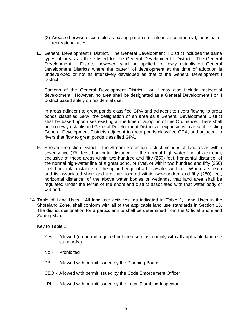- (2) Areas otherwise discernible as having patterns of intensive commercial, industrial or recreational uses.
- **E.** General Development II District. The General Development II District includes the same types of areas as those listed for the General Development I District. The General Development II District, however, shall be applied to newly established General Development Districts where the pattern of development at the time of adoption is undeveloped or not as intensively developed as that of the General Development I District.

Portions of the General Development District I or II may also include residential development. However, no area shall be designated as a General Development I or II District based solely on residential use.

In areas adjacent to great ponds classified GPA and adjacent to rivers flowing to great ponds classified GPA, the designation of an area as a General Development District shall be based upon uses existing at the time of adoption of this Ordinance. There shall be no newly established General Development Districts or expansions in area of existing General Development Districts adjacent to great ponds classified GPA, and adjacent to rivers that flow to great ponds classified GPA.

- F. Stream Protection District. The Stream Protection District includes all land areas within seventy-five (75) feet, horizontal distance, of the normal high-water line of a stream, exclusive of those areas within two-hundred and fifty (250) feet, horizontal distance, of the normal high-water line of a great pond, or river, or within two hundred and fifty (250) feet, horizontal distance, of the upland edge of a freshwater wetland. Where a stream and its associated shoreland area are located within two-hundred and fifty (250) feet, horizontal distance, of the above water bodies or wetlands, that land area shall be regulated under the terms of the shoreland district associated with that water body or wetland.
- 14. Table of Land Uses. All land use activities, as indicated in Table 1, Land Uses in the Shoreland Zone, shall conform with all of the applicable land use standards in Section 15. The district designation for a particular site shall be determined from the Official Shoreland Zoning Map.

Key to Table 1:

- Yes Allowed (no permit required but the use must comply with all applicable land use standards.)
- No Prohibited
- PB Allowed with permit issued by the Planning Board.
- CEO Allowed with permit issued by the Code Enforcement Officer
- LPI Allowed with permit issued by the Local Plumbing Inspector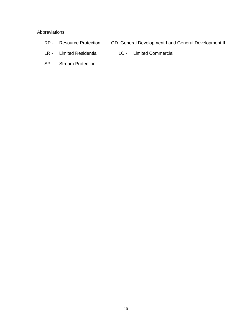#### Abbreviations:

- 
- RP Resource Protection GD General Development I and General Development II
- LR Limited Residential LC Limited Commercial
	-
- SP Stream Protection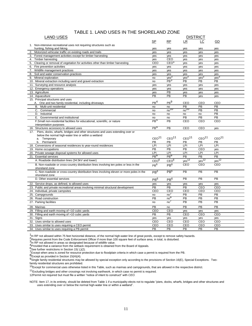### TABLE 1. LAND USES IN THE SHORELAND ZONE

| <b>LAND USES</b><br><b>DISTRICT</b>                                                       |                   |                        |                   |                        |                        |
|-------------------------------------------------------------------------------------------|-------------------|------------------------|-------------------|------------------------|------------------------|
|                                                                                           | SP                | RP                     | LR                | LC                     | GD                     |
| 1. Non-intensive recreational uses not requiring structures such as                       |                   |                        |                   |                        |                        |
| hunting, fishing and hiking                                                               | yes               | yes                    | yes               | yes                    | yes                    |
| Motorized vehicular traffic on existing roads and trails<br>2.                            | yes               | yes                    | yes               | yes                    | yes                    |
| 3. Forest management activities except for timber harvesting                              | yes               | yes                    | yes               | yes                    | yes                    |
| 4. Timber harvesting                                                                      | yes               | CEO                    | yes               | yes                    | yes                    |
| Clearing or removal of vegetation for activities other than timber harvesting<br>5.       | CEO               | CEO <sup>1</sup>       | yes               | yes                    | yes                    |
| 6. Fire prevention activities                                                             | yes               | yes                    | yes               | yes                    | yes                    |
| Wildlife management practices<br>7.                                                       | yes               | yes                    | yes               | yes                    | yes                    |
| Soil and water conservation practices<br>8.                                               | yes               | yes                    | yes               | yes                    | yes                    |
| 9. Mineral exploration                                                                    | no                | yes <sup>2</sup>       | yes <sup>2</sup>  | yes <sup>2</sup>       | yes <sup>2</sup>       |
| 10. Mineral extraction including sand and gravel extraction                               | no                | PB <sup>3</sup>        | PB                | PB                     | PB                     |
| 11. Surveying and resource analysis                                                       | yes               | yes                    | yes               | yes                    | yes                    |
| 12. Emergency operations                                                                  | yes               | yes                    | yes               | yes                    | yes                    |
| 13. Agriculture                                                                           | yes               | PB                     | yes               | yes                    | yes                    |
| 14. Aquaculture                                                                           | PB                | PB                     | PB                | yes                    | yes                    |
| 15. Principal structures and uses                                                         |                   |                        |                   |                        |                        |
| A. One and two family residential, including driveways                                    | PB <sup>4</sup>   | PB <sup>9</sup>        | CEO               | CEO                    | CEO                    |
| B. Multi-unit residential                                                                 | no                | no                     | PB                | PB                     | <b>PB</b>              |
| C. Commercial                                                                             | no                | no <sup>16</sup>       | $\overline{p}$    | $\overline{PB}$        | $\overline{PB}$        |
| D. Industrial                                                                             | no                | no                     | no                | no                     | PB                     |
| E. Governmental and institutional                                                         | no                | no                     | PB                | PB                     | PB                     |
| F.Small non-residential facilities for educational, scientific, or nature                 | PB <sup>4</sup>   | PB                     | CEO               | CEO                    | CEO                    |
| interpretation purposes                                                                   |                   |                        |                   |                        |                        |
| 16. Structures accessory to allowed uses                                                  | PB <sup>4</sup>   | PB                     | CEO               | CEO                    | yes                    |
| Piers, docks, wharfs, bridges and other structures and uses extending over or<br>17.      |                   |                        |                   |                        |                        |
| below the normal high-water line or within a wetland                                      |                   |                        |                   |                        |                        |
| a. Temporary                                                                              | CEO <sup>11</sup> | CEO <sup>11</sup>      | CEO <sup>11</sup> | CEO <sup>11</sup>      | CEO <sup>11</sup>      |
| Permanent<br>b.                                                                           | PB                | PB                     | PB                | PB                     | PB                     |
| 18. Conversions of seasonal residences to year-round residences                           | LPI               | LPI                    | LPI               | LPI                    | <b>LPI</b>             |
| 19. Home occupations                                                                      | PB                | PB                     | PB                | CEO                    | yes                    |
| 20. Private sewage disposal systems for allowed uses                                      | LPI               | LPI                    | LPI               | LPI                    | LPI                    |
| 21. Essential services                                                                    | PB <sup>6</sup>   | PB <sup>6</sup>        | PB                | PB                     | PB                     |
| A. Roadside distribution lines (34.5kV and lower)                                         | CEO <sup>6</sup>  | CEO <sup>6</sup>       | yes <sup>12</sup> | $yes^{\overline{12}}$  | $yes^{12}$             |
| B. Non-roadside or cross-country distribution lines involving ten poles or less in the    | PR <sup>6</sup>   | PB <sup>6</sup>        | CEO               | CEO                    | CEO                    |
| shoreland zone                                                                            |                   |                        |                   |                        |                        |
| C. Non-roadside or cross-country distribution lines involving eleven or more poles in the | PB <sup>6</sup>   | PB <sup>6</sup>        | PB                | PB                     | PB                     |
| shoreland zone                                                                            |                   |                        |                   |                        |                        |
| D. Other essential services                                                               | PB <sup>6</sup>   | PB <sup>6</sup>        | PB                | <b>PB</b>              | PB                     |
| 22. Service drops, as defined, to allowed uses                                            | yes               | yes                    | yes               | yes                    | yes                    |
| 23. Public and private recreational areas involving minimal structural development        | PB                | PB                     | PB                | CEO                    | CEO                    |
| 24. Individual, private campsites                                                         | CEO               | CEO                    | CEO               | CEO                    | CEO                    |
| 25. Campgrounds                                                                           | no                | no'                    | PB                | PB                     | PB                     |
| 26. Road construction                                                                     | PB                | noo                    | PB                | PB                     | PB                     |
| 27. Parking facilities                                                                    | no                | no'                    | PB                | PB                     | PB                     |
|                                                                                           |                   |                        |                   |                        |                        |
| 28. Marinas                                                                               | PB                | no                     | PB                | PB                     | PB                     |
| 29. Filling and earth moving of <10 cubic yards                                           | CEO               | CEO                    | yes               | yes                    | yes                    |
| 30. Filling and earth moving of >10 cubic yards                                           | PB                | PB                     | CEO               | CEO                    | CEO                    |
| 31. Signs                                                                                 | yes               | yes                    | yes               | yes                    | yes                    |
| 32. Uses similar to allowed uses                                                          | CEO               | CEO                    | CEO               | CEO                    | CEO                    |
| 33. Uses similar to uses requiring a CEO permit                                           |                   |                        |                   |                        |                        |
| 34. Uses similar to uses requiring a PB permit                                            | CEO<br>PB         | CEO<br>$\overline{PB}$ | CEO<br>PB         | CEO<br>$\overline{PB}$ | CEO<br>$\overline{PB}$ |

1<br>Prin RP not allowed within 75 feet horizontal distance, of the normal high-water line of great ponds, except to remove safety hazards.<br>PRequires permit from the Code Enforcement Officer if more than 100 square feet of su

3<sup>1</sup> The not allowed in areas so designated because of wildlife value.<br><sup>4</sup>Provided that a variance from the setback requirement is obtained from the Board of Appeals.

6<br>See further restrictions in Section 15( L)(2).

7Except when area is zoned for resource protection due to floodplain criteria in which case a permit is required from the PB.

8Except as provided in Section 15(H)(4).

9Single family residential structures may be allowed by special exception only according to the provisions of Section 16(E), Special Exceptions. Twofamily residential structures are prohibited.

10Except for commercial uses otherwise listed in this Table, such as marinas and campgrounds, that are allowed in the respective district.

<sup>11</sup>Excluding bridges and other crossings not involving earthwork, in which case no permit is required.

12Permit not required, but must file a written "notice of intent to construct" with *CEO.*

NOTE: Item 17, in its entirety, should be deleted from Table 1 if a municipality elects not to regulate "piers, docks, wharfs, bridges and other structures and uses extending over or below the normal high-water line or within a wetland".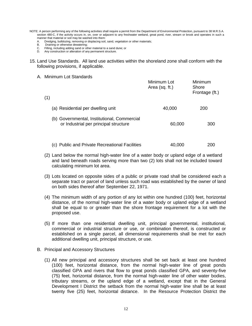- NOTE: A person performing any of the following activities shall require a permit from the Department of Environmental Protection, pursuant to 38 M.R.S.A. section 480-C, if the activity occurs in, on, over or adjacent to any freshwater wetland, great pond, river, stream or brook and operates in such a manner that material or soil may be washed into them:
	- A. Dredging, bulldozing, removing or displacing soil, sand, vegetation or other materials;<br>R. Draining or otherwise dewatering:
	- Draining or otherwise dewatering;
	- C. Filling, including adding sand or other material to a sand dune; or
	- D. Any construction or alteration of any permanent structure.
- 15. Land Use Standards. All land use activities within the shoreland zone shall conform with the following provisions, if applicable.

#### A. Minimum Lot Standards

| (1) |                                                                                      | Minimum Lot<br>Area (sq. ft.) | Minimum<br>Shore<br>Frontage (ft.) |
|-----|--------------------------------------------------------------------------------------|-------------------------------|------------------------------------|
|     | (a) Residential per dwelling unit                                                    | 40,000                        | 200                                |
|     | (b) Governmental, Institutional, Commercial<br>or Industrial per principal structure | 60,000                        | 300                                |
|     | (c) Public and Private Recreational Facilities                                       | 40,000                        | 200                                |

- (2) Land below the normal high-water line of a water body or upland edge of a wetland and land beneath roads serving more than two (2) lots shall not be included toward calculating minimum lot area.
- (3) Lots located on opposite sides of a public or private road shall be considered each a separate tract or parcel of land unless such road was established by the owner of land on both sides thereof after September 22, 1971.
- (4) The minimum width of any portion of any lot within one hundred (100) feet, horizontal distance, of the normal high-water line of a water body or upland edge of a wetland shall be equal to or greater than the shore frontage requirement for a lot with the proposed use.
- (5) If more than one residential dwelling unit, principal governmental, institutional, commercial or industrial structure or use, or combination thereof, is constructed or established on a single parcel, all dimensional requirements shall be met for each additional dwelling unit, principal structure, or use.
- B. Principal and Accessory Structures
	- (1) All new principal and accessory structures shall be set back at least one hundred (100) feet, horizontal distance, from the normal high-water line of great ponds classified GPA and rivers that flow to great ponds classified GPA, and seventy-five (75) feet, horizontal distance, from the normal high-water line of other water bodies, tributary streams, or the upland edge of a wetland, except that in the General Development I District the setback from the normal high-water line shall be at least twenty five (25) feet, horizontal distance. In the Resource Protection District the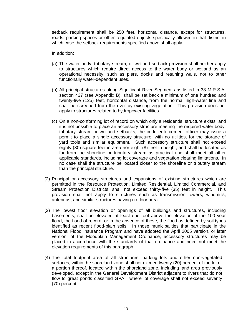setback requirement shall be 250 feet, horizontal distance, except for structures, roads, parking spaces or other regulated objects specifically allowed in that district in which case the setback requirements specified above shall apply.

In addition:

- (a) The water body, tributary stream, or wetland setback provision shall neither apply to structures which require direct access to the water body or wetland as an operational necessity, such as piers, docks and retaining walls, nor to other functionally water-dependent uses.
- (b) All principal structures along Significant River Segments as listed in 38 M.R.S.A. section 437 (see Appendix B), shall be set back a minimum of one hundred and twenty-five (125) feet, horizontal distance, from the normal high-water line and shall be screened from the river by existing vegetation. This provision does not apply to structures related to hydropower facilities.
- (c) On a non-conforming lot of record on which only a residential structure exists, and it is not possible to place an accessory structure meeting the required water body, tributary stream or wetland setbacks, the code enforcement officer may issue a permit to place a single accessory structure, with no utilities, for the storage of yard tools and similar equipment. Such accessory structure shall not exceed eighty (80) square feet in area nor eight (8) feet in height, and shall be located as far from the shoreline or tributary stream as practical and shall meet all other applicable standards, including lot coverage and vegetation clearing limitations. In no case shall the structure be located closer to the shoreline or tributary stream than the principal structure.
- (2) Principal or accessory structures and expansions of existing structures which are permitted in the Resource Protection, Limited Residential, Limited Commercial, and Stream Protection Districts, shall not exceed thirty-five (35) feet in height. This provision shall not apply to structures such as transmission towers, windmills, antennas, and similar structures having no floor area.
- (3) The lowest floor elevation or openings of all buildings and structures, including basements, shall be elevated at least one foot above the elevation of the 100 year flood, the flood of record, or in the absence of these, the flood as defined by soil types identified as recent flood-plain soils. In those municipalities that participate in the National Flood Insurance Program and have adopted the April 2005 version, or later version, of the Floodplain Management Ordinance, accessory structures may be placed in accordance with the standards of that ordinance and need not meet the elevation requirements of this paragraph.
- (4) The total footprint area of all structures, parking lots and other non-vegetated surfaces, within the shoreland zone shall not exceed twenty (20) percent of the lot or a portion thereof, located within the shoreland zone, including land area previously developed, except in the General Development District adjacent to rivers that do not flow to great ponds classified GPA, where lot coverage shall not exceed seventy (70) percent.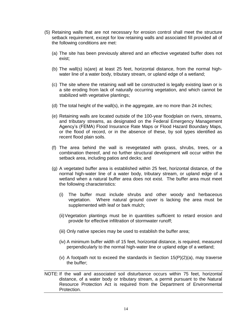- (5) Retaining walls that are not necessary for erosion control shall meet the structure setback requirement, except for low retaining walls and associated fill provided all of the following conditions are met:
	- (a) The site has been previously altered and an effective vegetated buffer does not exist;
	- (b) The wall(s) is(are) at least 25 feet, horizontal distance, from the normal highwater line of a water body, tributary stream, or upland edge of a wetland;
	- (c) The site where the retaining wall will be constructed is legally existing lawn or is a site eroding from lack of naturally occurring vegetation, and which cannot be stabilized with vegetative plantings;
	- (d) The total height of the wall(s), in the aggregate, are no more than 24 inches;
	- (e) Retaining walls are located outside of the 100-year floodplain on rivers, streams, and tributary streams, as designated on the Federal Emergency Management Agency's (FEMA) Flood Insurance Rate Maps or Flood Hazard Boundary Maps, or the flood of record, or in the absence of these, by soil types identified as recent flood plain soils.
	- (f) The area behind the wall is revegetated with grass, shrubs, trees, or a combination thereof, and no further structural development will occur within the setback area, including patios and decks; and
	- (g) A vegetated buffer area is established within 25 feet, horizontal distance, of the normal high-water line of a water body, tributary stream, or upland edge of a wetland when a natural buffer area does not exist. The buffer area must meet the following characteristics:
		- (i) The buffer must include shrubs and other woody and herbaceous vegetation. Where natural ground cover is lacking the area must be supplemented with leaf or bark mulch;
		- (ii)Vegetation plantings must be in quantities sufficient to retard erosion and provide for effective infiltration of stormwater runoff;
		- (iii) Only native species may be used to establish the buffer area;
		- (iv) A minimum buffer width of 15 feet, horizontal distance, is required, measured perpendicularly to the normal high-water line or upland edge of a wetland;
		- (v) A footpath not to exceed the standards in Section  $15(P)(2)(a)$ , may traverse the buffer;
- NOTE: If the wall and associated soil disturbance occurs within 75 feet, horizontal distance, of a water body or tributary stream, a permit pursuant to the Natural Resource Protection Act is required from the Department of Environmental Protection.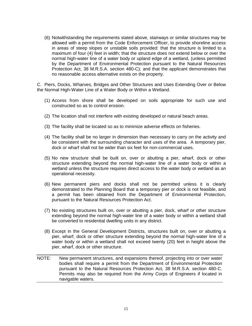(6) Notwithstanding the requirements stated above, stairways or similar structures may be allowed with a permit from the Code Enforcement Officer, to provide shoreline access in areas of steep slopes or unstable soils provided: that the structure is limited to a maximum of four (4) feet in width; that the structure does not extend below or over the normal high-water line of a water body or upland edge of a wetland, (unless permitted by the Department of Environmental Protection pursuant to the Natural Resources Protection Act, 38 M.R.S.A. section 480-C); and that the applicant demonstrates that no reasonable access alternative exists on the property.

C. Piers, Docks, Wharves, Bridges and Other Structures and Uses Extending Over or Below the Normal High-Water Line of a Water Body or Within a Wetland.

- (1) Access from shore shall be developed on soils appropriate for such use and constructed so as to control erosion.
- (2) The location shall not interfere with existing developed or natural beach areas.
- (3) The facility shall be located so as to minimize adverse effects on fisheries.
- (4) The facility shall be no larger in dimension than necessary to carry on the activity and be consistent with the surrounding character and uses of the area. A temporary pier, dock or wharf shall not be wider than six feet for non-commercial uses.
- (5) No new structure shall be built on, over or abutting a pier, wharf, dock or other structure extending beyond the normal high-water line of a water body or within a wetland unless the structure requires direct access to the water body or wetland as an operational necessity.
- (6) New permanent piers and docks shall not be permitted unless it is clearly demonstrated to the Planning Board that a temporary pier or dock is not feasible, and a permit has been obtained from the Department of Environmental Protection, pursuant to the Natural Resources Protection Act.
- (7) No existing structures built on, over or abutting a pier, dock, wharf or other structure extending beyond the normal high-water line of a water body or within a wetland shall be converted to residential dwelling units in any district.
- (8) Except in the General Development Districts, structures built on, over or abutting a pier, wharf, dock or other structure extending beyond the normal high-water line of a water body or within a wetland shall not exceed twenty (20) feet in height above the pier, wharf, dock or other structure.
- NOTE: New permanent structures, and expansions thereof, projecting into or over water bodies shall require a permit from the Department of Environmental Protection pursuant to the Natural Resources Protection Act, 38 M.R.S.A. section 480-C. Permits may also be required from the Army Corps of Engineers if located in navigable waters.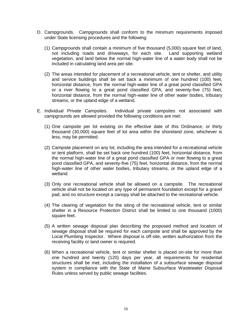- D. Campgrounds. Campgrounds shall conform to the minimum requirements imposed under State licensing procedures and the following:
	- (1) Campgrounds shall contain a minimum of five thousand (5,000) square feet of land, not including roads and driveways, for each site. Land supporting wetland vegetation, and land below the normal high-water line of a water body shall not be included in calculating land area per site.
	- (2) The areas intended for placement of a recreational vehicle, tent or shelter, and utility and service buildings shall be set back a minimum of one hundred (100) feet, horizontal distance, from the normal high-water line of a great pond classified GPA or a river flowing to a great pond classified GPA, and seventy-five (75) feet, horizontal distance, from the normal high-water line of other water bodies, tributary streams, or the upland edge of a wetland.
- E. Individual Private Campsites. Individual private campsites not associated with campgrounds are allowed provided the following conditions are met:
	- (1) One campsite per lot existing on the effective date of this Ordinance, or thirty thousand (30,000) square feet of lot area within the shoreland zone, whichever is less, may be permitted.
	- (2) Campsite placement on any lot, including the area intended for a recreational vehicle or tent platform, shall be set back one hundred (100) feet, horizontal distance, from the normal high-water line of a great pond classified GPA or river flowing to a great pond classified GPA, and seventy-five (75) feet, horizontal distance, from the normal high-water line of other water bodies, tributary streams, or the upland edge of a wetland.
	- (3) Only one recreational vehicle shall be allowed on a campsite. The recreational vehicle shall not be located on any type of permanent foundation except for a gravel pad, and no structure except a canopy shall be attached to the recreational vehicle.
	- (4) The clearing of vegetation for the siting of the recreational vehicle, tent or similar shelter in a Resource Protection District shall be limited to one thousand (1000) square feet.
	- (5) A written sewage disposal plan describing the proposed method and location of sewage disposal shall be required for each campsite and shall be approved by the Local Plumbing Inspector. Where disposal is off-site, written authorization from the receiving facility or land owner is required.
	- (6) When a recreational vehicle, tent or similar shelter is placed on-site for more than one hundred and twenty (120) days per year, all requirements for residential structures shall be met, including the installation of a subsurface sewage disposal system in compliance with the State of Maine Subsurface Wastewater Disposal Rules unless served by public sewage facilities.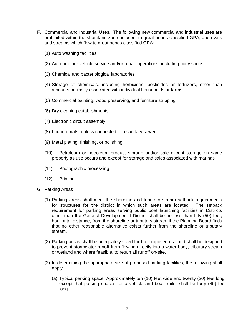- F. Commercial and Industrial Uses. The following new commercial and industrial uses are prohibited within the shoreland zone adjacent to great ponds classified GPA, and rivers and streams which flow to great ponds classified GPA:
	- (1) Auto washing facilities
	- (2) Auto or other vehicle service and/or repair operations, including body shops
	- (3) Chemical and bacteriological laboratories
	- (4) Storage of chemicals, including herbicides, pesticides or fertilizers, other than amounts normally associated with individual households or farms
	- (5) Commercial painting, wood preserving, and furniture stripping
	- (6) Dry cleaning establishments
	- (7) Electronic circuit assembly
	- (8) Laundromats, unless connected to a sanitary sewer
	- (9) Metal plating, finishing, or polishing
	- (10) Petroleum or petroleum product storage and/or sale except storage on same property as use occurs and except for storage and sales associated with marinas
	- (11) Photographic processing
	- (12) Printing
- G. Parking Areas
	- (1) Parking areas shall meet the shoreline and tributary stream setback requirements for structures for the district in which such areas are located. The setback requirement for parking areas serving public boat launching facilities in Districts other than the General Development I District shall be no less than fifty (50) feet, horizontal distance, from the shoreline or tributary stream if the Planning Board finds that no other reasonable alternative exists further from the shoreline or tributary stream.
	- (2) Parking areas shall be adequately sized for the proposed use and shall be designed to prevent stormwater runoff from flowing directly into a water body, tributary stream or wetland and where feasible, to retain all runoff on-site.
	- (3) In determining the appropriate size of proposed parking facilities, the following shall apply:
		- (a) Typical parking space: Approximately ten (10) feet wide and twenty (20) feet long, except that parking spaces for a vehicle and boat trailer shall be forty (40) feet long.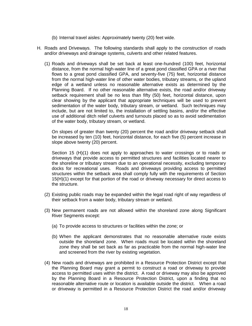- (b) Internal travel aisles: Approximately twenty (20) feet wide.
- H. Roads and Driveways. The following standards shall apply to the construction of roads and/or driveways and drainage systems, culverts and other related features.
	- (1) Roads and driveways shall be set back at least one-hundred (100) feet, horizontal distance, from the normal high-water line of a great pond classified GPA or a river that flows to a great pond classified GPA, and seventy-five (75) feet, horizontal distance from the normal high-water line of other water bodies, tributary streams, or the upland edge of a wetland unless no reasonable alternative exists as determined by the Planning Board. If no other reasonable alternative exists, the road and/or driveway setback requirement shall be no less than fifty (50) feet, horizontal distance, upon clear showing by the applicant that appropriate techniques will be used to prevent sedimentation of the water body, tributary stream, or wetland. Such techniques may include, but are not limited to, the installation of settling basins, and/or the effective use of additional ditch relief culverts and turnouts placed so as to avoid sedimentation of the water body, tributary stream, or wetland.

On slopes of greater than twenty (20) percent the road and/or driveway setback shall be increased by ten (10) feet, horizontal distance, for each five (5) percent increase in slope above twenty (20) percent.

Section 15 (H)(1) does not apply to approaches to water crossings or to roads or driveways that provide access to permitted structures and facilities located nearer to the shoreline or tributary stream due to an operational necessity, excluding temporary docks for recreational uses. Roads and driveways providing access to permitted structures within the setback area shall comply fully with the requirements of Section 15(H)(1) except for that portion of the road or driveway necessary for direct access to the structure.

- (2) Existing public roads may be expanded within the legal road right of way regardless of their setback from a water body, tributary stream or wetland.
- (3) New permanent roads are not allowed within the shoreland zone along Significant River Segments except:
	- (a) To provide access to structures or facilities within the zone; or
	- (b) When the applicant demonstrates that no reasonable alternative route exists outside the shoreland zone. When roads must be located within the shoreland zone they shall be set back as far as practicable from the normal high-water line and screened from the river by existing vegetation.
- (4) New roads and driveways are prohibited in a Resource Protection District except that the Planning Board may grant a permit to construct a road or driveway to provide access to permitted uses within the district. A road or driveway may also be approved by the Planning Board in a Resource Protection District, upon a finding that no reasonable alternative route or location is available outside the district. When a road or driveway is permitted in a Resource Protection District the road and/or driveway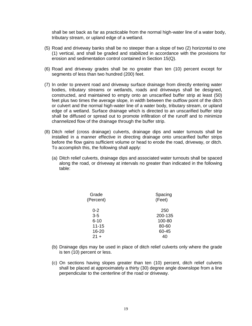shall be set back as far as practicable from the normal high-water line of a water body, tributary stream, or upland edge of a wetland.

- (5) Road and driveway banks shall be no steeper than a slope of two (2) horizontal to one (1) vertical, and shall be graded and stabilized in accordance with the provisions for erosion and sedimentation control contained in Section 15(Q).
- (6) Road and driveway grades shall be no greater than ten (10) percent except for segments of less than two hundred (200) feet.
- (7) In order to prevent road and driveway surface drainage from directly entering water bodies, tributary streams or wetlands, roads and driveways shall be designed, constructed, and maintained to empty onto an unscarified buffer strip at least (50) feet plus two times the average slope, in width between the outflow point of the ditch or culvert and the normal high-water line of a water body, tributary stream, or upland edge of a wetland. Surface drainage which is directed to an unscarified buffer strip shall be diffused or spread out to promote infiltration of the runoff and to minimize channelized flow of the drainage through the buffer strip.
- (8) Ditch relief (cross drainage) culverts, drainage dips and water turnouts shall be installed in a manner effective in directing drainage onto unscarified buffer strips before the flow gains sufficient volume or head to erode the road, driveway, or ditch. To accomplish this, the following shall apply:
	- (a) Ditch relief culverts, drainage dips and associated water turnouts shall be spaced along the road, or driveway at intervals no greater than indicated in the following table:

| Spacing<br>(Feet) |
|-------------------|
| 250               |
| 200-135           |
| 100-80            |
| 80-60             |
| 60-45             |
|                   |
|                   |

- (b) Drainage dips may be used in place of ditch relief culverts only where the grade is ten (10) percent or less.
- (c) On sections having slopes greater than ten (10) percent, ditch relief culverts shall be placed at approximately a thirty (30) degree angle downslope from a line perpendicular to the centerline of the road or driveway.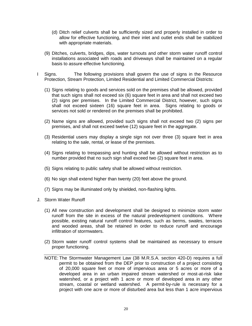- (d) Ditch relief culverts shall be sufficiently sized and properly installed in order to allow for effective functioning, and their inlet and outlet ends shall be stabilized with appropriate materials.
- (9) Ditches, culverts, bridges, dips, water turnouts and other storm water runoff control installations associated with roads and driveways shall be maintained on a regular basis to assure effective functioning.
- I Signs. The following provisions shall govern the use of signs in the Resource Protection, Stream Protection, Limited Residential and Limited Commercial Districts:
	- (1) Signs relating to goods and services sold on the premises shall be allowed, provided that such signs shall not exceed six (6) square feet in area and shall not exceed two (2) signs per premises. In the Limited Commercial District, however, such signs shall not exceed sixteen (16) square feet in area. Signs relating to goods or services not sold or rendered on the premises shall be prohibited.
	- (2) Name signs are allowed, provided such signs shall not exceed two (2) signs per premises, and shall not exceed twelve (12) square feet in the aggregate.
	- (3) Residential users may display a single sign not over three (3) square feet in area relating to the sale, rental, or lease of the premises.
	- (4) Signs relating to trespassing and hunting shall be allowed without restriction as to number provided that no such sign shall exceed two (2) square feet in area.
	- (5) Signs relating to public safety shall be allowed without restriction.
	- (6) No sign shall extend higher than twenty (20) feet above the ground.
	- (7) Signs may be illuminated only by shielded, non-flashing lights.
- J. Storm Water Runoff
	- (1) All new construction and development shall be designed to minimize storm water runoff from the site in excess of the natural predevelopment conditions. Where possible, existing natural runoff control features, such as berms, swales, terraces and wooded areas, shall be retained in order to reduce runoff and encourage infiltration of stormwaters.
	- (2) Storm water runoff control systems shall be maintained as necessary to ensure proper functioning.
	- NOTE: The Stormwater Management Law (38 M.R.S.A. section 420-D) requires a full permit to be obtained from the DEP prior to construction of a project consisting of 20,000 square feet or more of impervious area or 5 acres or more of a developed area in an urban impaired stream watershed or most-at-risk lake watershed, or a project with 1 acre or more of developed area in any other stream, coastal or wetland watershed. A permit-by-rule is necessary for a project with one acre or more of disturbed area but less than 1 acre impervious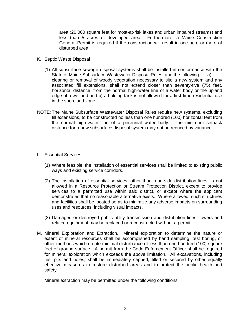area (20,000 square feet for most-at-risk lakes and urban impaired streams) and less than 5 acres of developed area. Furthermore, a Maine Construction General Permit is required if the construction will result in one acre or more of disturbed area.

- K. Septic Waste Disposal
	- (1) All subsurface sewage disposal systems shall be installed in conformance with the State of Maine Subsurface Wastewater Disposal Rules, and the following: a) clearing or removal of woody vegetation necessary to site a new system and any associated fill extensions, shall not extend closer than seventy-five (75) feet, horizontal distance, from the normal high-water line of a water body or the upland edge of a wetland and b) a holding tank is not allowed for a first-time residential use in the shoreland zone.
- NOTE: The Maine Subsurface Wastewater Disposal Rules require new systems, excluding fill extensions, to be constructed no less than one hundred (100) horizontal feet from the normal high-water line of a perennial water body. The minimum setback distance for a new subsurface disposal system may not be reduced by variance.
- L. Essential Services
	- (1) Where feasible, the installation of essential services shall be limited to existing public ways and existing service corridors.
	- (2) The installation of essential services, other than road-side distribution lines, is not allowed in a Resource Protection or Stream Protection District, except to provide services to a permitted use within said district, or except where the applicant demonstrates that no reasonable alternative exists. Where allowed, such structures and facilities shall be located so as to minimize any adverse impacts on surrounding uses and resources, including visual impacts.
	- (3) Damaged or destroyed public utility transmission and distribution lines, towers and related equipment may be replaced or reconstructed without a permit.
- M. Mineral Exploration and Extraction. Mineral exploration to determine the nature or extent of mineral resources shall be accomplished by hand sampling, test boring, or other methods which create minimal disturbance of less than one hundred (100) square feet of ground surface. A permit from the Code Enforcement Officer shall be required for mineral exploration which exceeds the above limitation. All excavations, including test pits and holes, shall be immediately capped, filled or secured by other equally effective measures to restore disturbed areas and to protect the public health and safety.

Mineral extraction may be permitted under the following conditions: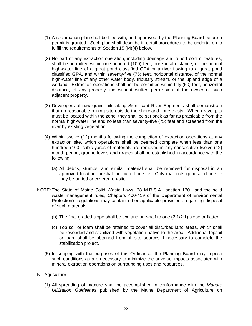- (1) A reclamation plan shall be filed with, and approved, by the Planning Board before a permit is granted. Such plan shall describe in detail procedures to be undertaken to fulfill the requirements of Section 15 (M)(4) below.
- (2) No part of any extraction operation, including drainage and runoff control features, shall be permitted within one hundred (100) feet, horizontal distance, of the normal high-water line of a great pond classified GPA or a river flowing to a great pond classified GPA, and within seventy-five (75) feet, horizontal distance, of the normal high-water line of any other water body, tributary stream, or the upland edge of a wetland. Extraction operations shall not be permitted within fifty (50) feet, horizontal distance, of any property line without written permission of the owner of such adjacent property.
- (3) Developers of new gravel pits along Significant River Segments shall demonstrate that no reasonable mining site outside the shoreland zone exists. When gravel pits must be located within the zone, they shall be set back as far as practicable from the normal high-water line and no less than seventy-five (75) feet and screened from the river by existing vegetation.
- (4) Within twelve (12) months following the completion of extraction operations at any extraction site, which operations shall be deemed complete when less than one hundred (100) cubic yards of materials are removed in any consecutive twelve (12) month period, ground levels and grades shall be established in accordance with the following:
	- (a) All debris, stumps, and similar material shall be removed for disposal in an approved location, or shall be buried on-site. Only materials generated on-site may be buried or covered on-site.
- NOTE: The State of Maine Solid Waste Laws, 38 M.R.S.A., section 1301 and the solid waste management rules, Chapters 400-419 of the Department of Environmental Protection's regulations may contain other applicable provisions regarding disposal of such materials.
	- (b) The final graded slope shall be two and one-half to one (2 1/2:1) slope or flatter.
	- (c) Top soil or loam shall be retained to cover all disturbed land areas, which shall be reseeded and stabilized with vegetation native to the area. Additional topsoil or loam shall be obtained from off-site sources if necessary to complete the stabilization project.
	- (5) In keeping with the purposes of this Ordinance, the Planning Board may impose such conditions as are necessary to minimize the adverse impacts associated with mineral extraction operations on surrounding uses and resources.
- N. Agriculture
	- (1) All spreading of manure shall be accomplished in conformance with the *Manure Utilization Guidelines* published by the Maine Department of Agriculture on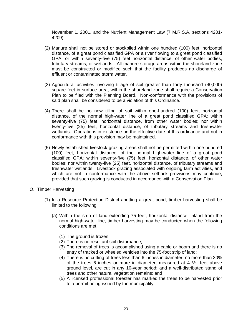November 1, 2001, and the Nutrient Management Law (7 M.R.S.A. sections 4201- 4209).

- (2) Manure shall not be stored or stockpiled within one hundred (100) feet, horizontal distance, of a great pond classified GPA or a river flowing to a great pond classified GPA, or within seventy-five (75) feet horizontal distance, of other water bodies, tributary streams, or wetlands. All manure storage areas within the shoreland zone must be constructed or modified such that the facility produces no discharge of effluent or contaminated storm water.
- (3) Agricultural activities involving tillage of soil greater than forty thousand (40,000) square feet in surface area, within the shoreland zone shall require a Conservation Plan to be filed with the Planning Board. Non-conformance with the provisions of said plan shall be considered to be a violation of this Ordinance.
- (4) There shall be no new tilling of soil within one-hundred (100) feet, horizontal distance, of the normal high-water line of a great pond classified GPA; within seventy-five (75) feet, horizontal distance, from other water bodies; nor within twenty-five (25) feet, horizontal distance, of tributary streams and freshwater wetlands. Operations in existence on the effective date of this ordinance and not in conformance with this provision may be maintained.
- (5) Newly established livestock grazing areas shall not be permitted within one hundred (100) feet, horizontal distance, of the normal high-water line of a great pond classified GPA; within seventy-five (75) feet, horizontal distance, of other water bodies; nor within twenty-five (25) feet, horizontal distance, of tributary streams and freshwater wetlands. Livestock grazing associated with ongoing farm activities, and which are not in conformance with the above setback provisions may continue, provided that such grazing is conducted in accordance with a Conservation Plan.
- O. Timber Harvesting
	- (1) In a Resource Protection District abutting a great pond, timber harvesting shall be limited to the following:
		- (a) Within the strip of land extending 75 feet, horizontal distance, inland from the normal high-water line, timber harvesting may be conducted when the following conditions are met:
			- (1) The ground is frozen;
			- (2) There is no resultant soil disturbance;
			- (3) The removal of trees is accomplished using a cable or boom and there is no entry of tracked or wheeled vehicles into the 75-foot strip of land;
			- (4) There is no cutting of trees less than 6 inches in diameter; no more than 30% of the trees 6 inches or more in diameter, measured at 4 ½ feet above ground level, are cut in any 10-year period; and a well-distributed stand of trees and other natural vegetation remains; and
			- (5) A licensed professional forester has marked the trees to be harvested prior to a permit being issued by the municipality.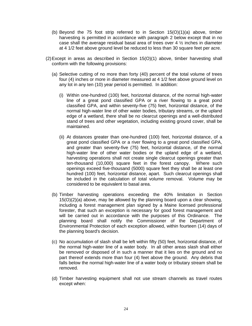- (b) Beyond the 75 foot strip referred to in Section  $15(0)(1)(a)$  above, timber harvesting is permitted in accordance with paragraph 2 below except that in no case shall the average residual basal area of trees over 4  $\frac{1}{2}$  inches in diameter at 4 1/2 feet above ground level be reduced to less than 30 square feet per acre.
- (2)Except in areas as described in Section 15(O)(1) above, timber harvesting shall conform with the following provisions:
	- (a) Selective cutting of no more than forty (40) percent of the total volume of trees four (4) inches or more in diameter measured at 4 1/2 feet above ground level on any lot in any ten (10) year period is permitted. In addition:
		- (i) Within one-hundred (100) feet, horizontal distance, of the normal high-water line of a great pond classified GPA or a river flowing to a great pond classified GPA, and within seventy-five (75) feet, horizontal distance, of the normal high-water line of other water bodies, tributary streams, or the upland edge of a wetland, there shall be no clearcut openings and a well-distributed stand of trees and other vegetation, including existing ground cover, shall be maintained.
		- (ii) At distances greater than one-hundred (100) feet, horizontal distance, of a great pond classified GPA or a river flowing to a great pond classified GPA, and greater than seventy-five (75) feet, horizontal distance, of the normal high-water line of other water bodies or the upland edge of a wetland, harvesting operations shall not create single clearcut openings greater than ten-thousand (10,000) square feet in the forest canopy. Where such openings exceed five-thousand (5000) square feet they shall be at least one hundred (100) feet, horizontal distance, apart. Such clearcut openings shall be included in the calculation of total volume removal. Volume may be considered to be equivalent to basal area.
	- (b) Timber harvesting operations exceeding the 40% limitation in Section 15(O)(2)(a) above, may be allowed by the planning board upon a clear showing, including a forest management plan signed by a Maine licensed professional forester, that such an exception is necessary for good forest management and will be carried out in accordance with the purposes of this Ordinance. The planning board shall notify the Commissioner of the Department of Environmental Protection of each exception allowed, within fourteen (14) days of the planning board's decision.
	- (c) No accumulation of slash shall be left within fifty (50) feet, horizontal distance, of the normal high-water line of a water body. In all other areas slash shall either be removed or disposed of in such a manner that it lies on the ground and no part thereof extends more than four (4) feet above the ground. Any debris that falls below the normal high-water line of a water body or tributary stream shall be removed.
	- (d) Timber harvesting equipment shall not use stream channels as travel routes except when: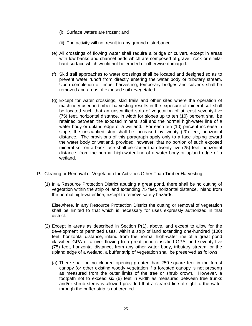- (i) Surface waters are frozen; and
- (ii) The activity will not result in any ground disturbance.
- (e) All crossings of flowing water shall require a bridge or culvert, except in areas with low banks and channel beds which are composed of gravel, rock or similar hard surface which would not be eroded or otherwise damaged.
- (f) Skid trail approaches to water crossings shall be located and designed so as to prevent water runoff from directly entering the water body or tributary stream. Upon completion of timber harvesting, temporary bridges and culverts shall be removed and areas of exposed soil revegetated.
- (g) Except for water crossings, skid trails and other sites where the operation of machinery used in timber harvesting results in the exposure of mineral soil shall be located such that an unscarified strip of vegetation of at least seventy-five (75) feet, horizontal distance, in width for slopes up to ten (10) percent shall be retained between the exposed mineral soil and the normal high-water line of a water body or upland edge of a wetland. For each ten (10) percent increase in slope, the unscarified strip shall be increased by twenty (20) feet, horizontal distance. The provisions of this paragraph apply only to a face sloping toward the water body or wetland, provided, however, that no portion of such exposed mineral soil on a back face shall be closer than twenty five (25) feet, horizontal distance, from the normal high-water line of a water body or upland edge of a wetland.
- P. Clearing or Removal of Vegetation for Activities Other Than Timber Harvesting
	- (1) In a Resource Protection District abutting a great pond, there shall be no cutting of vegetation within the strip of land extending 75 feet, horizontal distance, inland from the normal high-water line, except to remove safety hazards.

Elsewhere, in any Resource Protection District the cutting or removal of vegetation shall be limited to that which is necessary for uses expressly authorized in that district.

- (2) Except in areas as described in Section P(1), above, and except to allow for the development of permitted uses, within a strip of land extending one-hundred (100) feet, horizontal distance, inland from the normal high-water line of a great pond classified GPA or a river flowing to a great pond classified GPA, and seventy-five (75) feet, horizontal distance, from any other water body, tributary stream, or the upland edge of a wetland, a buffer strip of vegetation shall be preserved as follows:
	- (a) There shall be no cleared opening greater than 250 square feet in the forest canopy (or other existing woody vegetation if a forested canopy is not present) as measured from the outer limits of the tree or shrub crown. However, a footpath not to exceed six (6) feet in width as measured between tree trunks and/or shrub stems is allowed provided that a cleared line of sight to the water through the buffer strip is not created.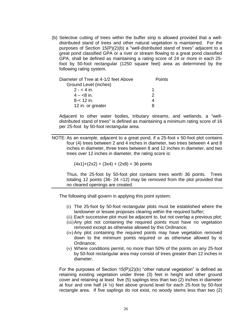(b) Selective cutting of trees within the buffer strip is allowed provided that a welldistributed stand of trees and other natural vegetation is maintained. For the purposes of Section 15(P)(2)(b) a "well-distributed stand of trees" adjacent to a great pond classified GPA or a river or stream flowing to a great pond classified GPA, shall be defined as maintaining a rating score of 24 or more in each 25 foot by 50-foot rectangular (1250 square feet) area as determined by the following rating system.

| Diameter of Tree at 4-1/2 feet Above | <b>Points</b> |  |
|--------------------------------------|---------------|--|
| Ground Level (inches)                |               |  |
| $2 - 4$ in.                          |               |  |
| $4 - 8$ in.                          | 2             |  |
| $8 - 12$ in.                         |               |  |
| 12 in. or greater                    |               |  |

Adjacent to other water bodies, tributary streams, and wetlands, a "welldistributed stand of trees" is defined as maintaining a minimum rating score of 16 per 25-foot by 50-foot rectangular area.

NOTE: As an example, adjacent to a great pond, if a 25-foot x 50-foot plot contains four (4) trees between 2 and 4 inches in diameter, two trees between 4 and 8 inches in diameter, three trees between 8 and 12 inches in diameter, and two trees over 12 inches in diameter, the rating score is:

 $(4x1)+(2x2) + (3x4) + (2x8) = 36$  points

Thus, the 25-foot by 50-foot plot contains trees worth 36 points. Trees totaling 12 points (36- 24 =12) may be removed from the plot provided that no cleared openings are created.

The following shall govern in applying this point system:

- (i) The 25-foot by 50-foot rectangular plots must be established where the landowner or lessee proposes clearing within the required buffer;
- (ii) Each successive plot must be adjacent to, but not overlap a previous plot;
- (iii)Any plot not containing the required points must have no vegetation removed except as otherwise allowed by this Ordinance;
- (iv) Any plot containing the required points may have vegetation removed down to the minimum points required or as otherwise allowed by is Ordinance;
- (v) Where conditions permit, no more than 50% of the points on any 25-foot by 50-foot rectangular area may consist of trees greater than 12 inches in diameter.

For the purposes of Section  $15(P)(2)(b)$  "other natural vegetation" is defined as retaining existing vegetation under three (3) feet in height and other ground cover and retaining at least five (5) saplings less than two (2) inches in diameter at four and one half  $(4 \frac{1}{2})$  feet above ground level for each 25-foot by 50-foot rectangle area. If five saplings do not exist, no woody stems less than two (2)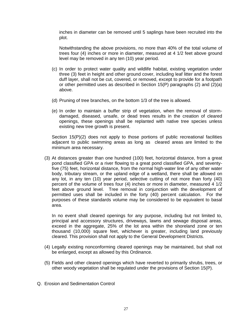inches in diameter can be removed until 5 saplings have been recruited into the plot.

Notwithstanding the above provisions, no more than 40% of the total volume of trees four (4) inches or more in diameter, measured at 4 1/2 feet above ground level may be removed in any ten (10) year period.

- (c) In order to protect water quality and wildlife habitat, existing vegetation under three (3) feet in height and other ground cover, including leaf litter and the forest duff layer, shall not be cut, covered, or removed, except to provide for a footpath or other permitted uses as described in Section 15(P) paragraphs (2) and (2)(a) above.
- (d) Pruning of tree branches, on the bottom 1/3 of the tree is allowed.
- (e) In order to maintain a buffer strip of vegetation, when the removal of stormdamaged, diseased, unsafe, or dead trees results in the creation of cleared openings, these openings shall be replanted with native tree species unless existing new tree growth is present.

Section 15(P)(2) does not apply to those portions of public recreational facilities adjacent to public swimming areas as long as cleared areas are limited to the minimum area necessary.

(3) At distances greater than one hundred (100) feet, horizontal distance, from a great pond classified GPA or a river flowing to a great pond classified GPA, and seventyfive (75) feet, horizontal distance, from the normal high-water line of any other water body, tributary stream, or the upland edge of a wetland, there shall be allowed on any lot, in any ten (10) year period, selective cutting of not more than forty (40) percent of the volume of trees four (4) inches or more in diameter, measured 4 1/2 feet above ground level. Tree removal in conjunction with the development of permitted uses shall be included in the forty (40) percent calculation. For the purposes of these standards volume may be considered to be equivalent to basal area.

In no event shall cleared openings for any purpose, including but not limited to, principal and accessory structures, driveways, lawns and sewage disposal areas, exceed in the aggregate, 25% of the lot area within the shoreland zone or ten thousand (10,000) square feet, whichever is greater, including land previously cleared. This provision shall not apply to the General Development Districts.

- (4) Legally existing nonconforming cleared openings may be maintained, but shall not be enlarged, except as allowed by this Ordinance.
- (5) Fields and other cleared openings which have reverted to primarily shrubs, trees, or other woody vegetation shall be regulated under the provisions of Section 15(P).
- Q. Erosion and Sedimentation Control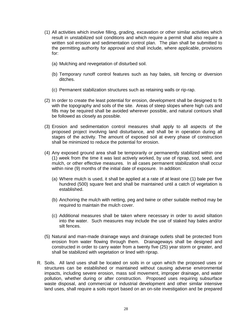- (1) All activities which involve filling, grading, excavation or other similar activities which result in unstabilized soil conditions and which require a permit shall also require a written soil erosion and sedimentation control plan. The plan shall be submitted to the permitting authority for approval and shall include, where applicable, provisions for:
	- (a) Mulching and revegetation of disturbed soil.
	- (b) Temporary runoff control features such as hay bales, silt fencing or diversion ditches.
	- (c) Permanent stabilization structures such as retaining walls or rip-rap.
- (2) In order to create the least potential for erosion, development shall be designed to fit with the topography and soils of the site. Areas of steep slopes where high cuts and fills may be required shall be avoided wherever possible, and natural contours shall be followed as closely as possible.
- (3) Erosion and sedimentation control measures shall apply to all aspects of the proposed project involving land disturbance, and shall be in operation during all stages of the activity. The amount of exposed soil at every phase of construction shall be minimized to reduce the potential for erosion.
- (4) Any exposed ground area shall be temporarily or permanently stabilized within one (1) week from the time it was last actively worked, by use of riprap, sod, seed, and mulch, or other effective measures. In all cases permanent stabilization shall occur within nine (9) months of the initial date of exposure. In addition:
	- (a) Where mulch is used, it shall be applied at a rate of at least one (1) bale per five hundred (500) square feet and shall be maintained until a catch of vegetation is established.
	- (b) Anchoring the mulch with netting, peg and twine or other suitable method may be required to maintain the mulch cover.
	- (c) Additional measures shall be taken where necessary in order to avoid siltation into the water. Such measures may include the use of staked hay bales and/or silt fences.
- (5) Natural and man-made drainage ways and drainage outlets shall be protected from erosion from water flowing through them. Drainageways shall be designed and constructed in order to carry water from a twenty five (25) year storm or greater, and shall be stabilized with vegetation or lined with riprap.
- R. Soils. All land uses shall be located on soils in or upon which the proposed uses or structures can be established or maintained without causing adverse environmental impacts, including severe erosion, mass soil movement, improper drainage, and water pollution, whether during or after construction. Proposed uses requiring subsurface waste disposal, and commercial or industrial development and other similar intensive land uses, shall require a soils report based on an on-site investigation and be prepared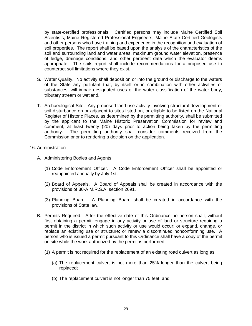by state-certified professionals. Certified persons may include Maine Certified Soil Scientists, Maine Registered Professional Engineers, Maine State Certified Geologists and other persons who have training and experience in the recognition and evaluation of soil properties. The report shall be based upon the analysis of the characteristics of the soil and surrounding land and water areas, maximum ground water elevation, presence of ledge, drainage conditions, and other pertinent data which the evaluator deems appropriate. The soils report shall include recommendations for a proposed use to counteract soil limitations where they exist.

- S. Water Quality. No activity shall deposit on or into the ground or discharge to the waters of the State any pollutant that, by itself or in combination with other activities or substances, will impair designated uses or the water classification of the water body, tributary stream or wetland.
- T. Archaeological Site. Any proposed land use activity involving structural development or soil disturbance on or adjacent to sites listed on, or eligible to be listed on the National Register of Historic Places, as determined by the permitting authority, shall be submitted by the applicant to the Maine Historic Preservation Commission for review and comment, at least twenty (20) days prior to action being taken by the permitting authority. The permitting authority shall consider comments received from the Commission prior to rendering a decision on the application.
- 16. Administration
	- A. Administering Bodies and Agents
		- (1) Code Enforcement Officer. A Code Enforcement Officer shall be appointed or reappointed annually by July 1st.
		- (2) Board of Appeals. A Board of Appeals shall be created in accordance with the provisions of 30-A M.R.S.A. section 2691.
		- (3) Planning Board. A Planning Board shall be created in accordance with the provisions of State law.
	- B. Permits Required. After the effective date of this Ordinance no person shall, without first obtaining a permit, engage in any activity or use of land or structure requiring a permit in the district in which such activity or use would occur; or expand, change, or replace an existing use or structure; or renew a discontinued nonconforming use. A person who is issued a permit pursuant to this Ordinance shall have a copy of the permit on site while the work authorized by the permit is performed.
		- (1) A permit is not required for the replacement of an existing road culvert as long as:
			- (a) The replacement culvert is not more than 25% longer than the culvert being replaced;
			- (b) The replacement culvert is not longer than 75 feet; and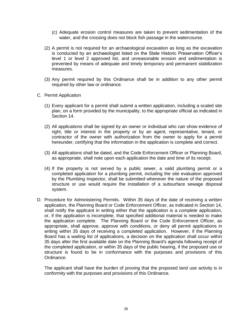- (c) Adequate erosion control measures are taken to prevent sedimentation of the water, and the crossing does not block fish passage in the watercourse.
- (2) A permit is not required for an archaeological excavation as long as the excavation is conducted by an archaeologist listed on the State Historic Preservation Officer's level 1 or level 2 approved list, and unreasonable erosion and sedimentation is prevented by means of adequate and timely temporary and permanent stabilization measures.
- (3) Any permit required by this Ordinance shall be in addition to any other permit required by other law or ordinance.
- C. Permit Application
	- (1) Every applicant for a permit shall submit a written application, including a scaled site plan, on a form provided by the municipality, to the appropriate official as indicated in Section 14.
	- (2) All applications shall be signed by an owner or individual who can show evidence of right, title or interest in the property or by an agent, representative, tenant, or contractor of the owner with authorization from the owner to apply for a permit hereunder, certifying that the information in the application is complete and correct.
	- (3) All applications shall be dated, and the Code Enforcement Officer or Planning Board, as appropriate, shall note upon each application the date and time of its receipt.
	- (4) If the property is not served by a public sewer, a valid plumbing permit or a completed application for a plumbing permit, including the site evaluation approved by the Plumbing Inspector, shall be submitted whenever the nature of the proposed structure or use would require the installation of a subsurface sewage disposal system.
- D. Procedure for Administering Permits. Within 35 days of the date of receiving a written application, the Planning Board or Code Enforcement Officer, as indicated in Section 14, shall notify the applicant in writing either that the application is a complete application, or, if the application is incomplete, that specified additional material is needed to make the application complete. The Planning Board or the Code Enforcement Officer, as appropriate, shall approve, approve with conditions, or deny all permit applications in writing within 35 days of receiving a completed application. However, if the Planning Board has a waiting list of applications, a decision on the application shall occur within 35 days after the first available date on the Planning Board's agenda following receipt of the completed application, or within 35 days of the public hearing, if the proposed use or structure is found to be in conformance with the purposes and provisions of this Ordinance.

The applicant shall have the burden of proving that the proposed land use activity is in conformity with the purposes and provisions of this Ordinance.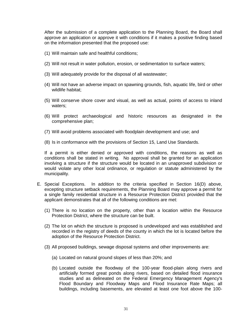After the submission of a complete application to the Planning Board, the Board shall approve an application or approve it with conditions if it makes a positive finding based on the information presented that the proposed use:

- (1) Will maintain safe and healthful conditions;
- (2) Will not result in water pollution, erosion, or sedimentation to surface waters;
- (3) Will adequately provide for the disposal of all wastewater;
- (4) Will not have an adverse impact on spawning grounds, fish, aquatic life, bird or other wildlife habitat;
- (5) Will conserve shore cover and visual, as well as actual, points of access to inland waters;
- (6) Will protect archaeological and historic resources as designated in the comprehensive plan;
- (7) Will avoid problems associated with floodplain development and use; and
- (8) Is in conformance with the provisions of Section 15, Land Use Standards.

If a permit is either denied or approved with conditions, the reasons as well as conditions shall be stated in writing. No approval shall be granted for an application involving a structure if the structure would be located in an unapproved subdivision or would violate any other local ordinance, or regulation or statute administered by the municipality.

- E. Special Exceptions. In addition to the criteria specified in Section 16(D) above, excepting structure setback requirements, the Planning Board may approve a permit for a single family residential structure in a Resource Protection District provided that the applicant demonstrates that all of the following conditions are met:
	- (1) There is no location on the property, other than a location within the Resource Protection District, where the structure can be built.
	- (2) The lot on which the structure is proposed is undeveloped and was established and recorded in the registry of deeds of the county in which the lot is located before the adoption of the Resource Protection District.
	- (3) All proposed buildings, sewage disposal systems and other improvements are:
		- (a) Located on natural ground slopes of less than 20%; and
		- (b) Located outside the floodway of the 100-year flood-plain along rivers and artificially formed great ponds along rivers, based on detailed flood insurance studies and as delineated on the Federal Emergency Management Agency's Flood Boundary and Floodway Maps and Flood Insurance Rate Maps; all buildings, including basements, are elevated at least one foot above the 100-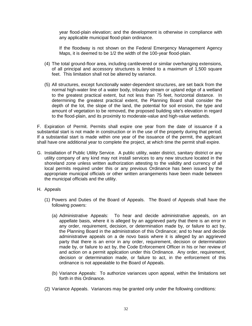year flood-plain elevation; and the development is otherwise in compliance with any applicable municipal flood-plain ordinance.

If the floodway is not shown on the Federal Emergency Management Agency Maps, it is deemed to be 1/2 the width of the 100-year flood-plain.

- (4) The total ground-floor area, including cantilevered or similar overhanging extensions, of all principal and accessory structures is limited to a maximum of 1,500 square feet. This limitation shall not be altered by variance.
- (5) All structures, except functionally water-dependent structures, are set back from the normal high-water line of a water body, tributary stream or upland edge of a wetland to the greatest practical extent, but not less than 75 feet, horizontal distance. In determining the greatest practical extent, the Planning Board shall consider the depth of the lot, the slope of the land, the potential for soil erosion, the type and amount of vegetation to be removed, the proposed building site's elevation in regard to the flood-plain, and its proximity to moderate-value and high-value wetlands.

F. Expiration of Permit. Permits shall expire one year from the date of issuance if a substantial start is not made in construction or in the use of the property during that period. If a substantial start is made within one year of the issuance of the permit, the applicant shall have one additional year to complete the project, at which time the permit shall expire.

- G. Installation of Public Utility Service. A public utility, water district, sanitary district or any utility company of any kind may not install services to any new structure located in the shoreland zone unless written authorization attesting to the validity and currency of all local permits required under this or any previous Ordinance has been issued by the appropriate municipal officials or other written arrangements have been made between the municipal officials and the utility.
- H. Appeals
	- (1) Powers and Duties of the Board of Appeals. The Board of Appeals shall have the following powers:
		- (a) Administrative Appeals: To hear and decide administrative appeals, on an appellate basis, where it is alleged by an aggrieved party that there is an error in any order, requirement, decision, or determination made by, or failure to act by, the Planning Board in the administration of this Ordinance; and to hear and decide administrative appeals on a de novo basis where it is alleged by an aggrieved party that there is an error in any order, requirement, decision or determination made by, or failure to act by, the Code Enforcement Officer in his or her review of and action on a permit application under this Ordinance. Any order, requirement, decision or determination made, or failure to act, in the enforcement of this ordinance is not appealable to the Board of Appeals.
		- (b) Variance Appeals: To authorize variances upon appeal, within the limitations set forth in this Ordinance.
	- (2) Variance Appeals. Variances may be granted only under the following conditions: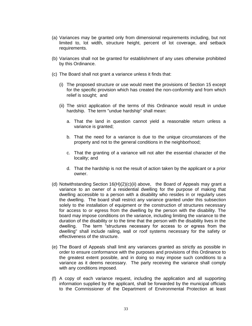- (a) Variances may be granted only from dimensional requirements including, but not limited to, lot width, structure height, percent of lot coverage, and setback requirements.
- (b) Variances shall not be granted for establishment of any uses otherwise prohibited by this Ordinance.
- (c) The Board shall not grant a variance unless it finds that:
	- (i) The proposed structure or use would meet the provisions of Section 15 except for the specific provision which has created the non-conformity and from which relief is sought; and
	- (ii) The strict application of the terms of this Ordinance would result in undue hardship. The term "undue hardship" shall mean:
		- a. That the land in question cannot yield a reasonable return unless a variance is granted;
		- b. That the need for a variance is due to the unique circumstances of the property and not to the general conditions in the neighborhood;
		- c. That the granting of a variance will not alter the essential character of the locality; and
		- d. That the hardship is not the result of action taken by the applicant or a prior owner.
- (d) Notwithstanding Section 16(H)(2)(c)(ii) above, the Board of Appeals may grant a variance to an owner of a residential dwelling for the purpose of making that dwelling accessible to a person with a disability who resides in or regularly uses the dwelling. The board shall restrict any variance granted under this subsection solely to the installation of equipment or the construction of structures necessary for access to or egress from the dwelling by the person with the disability. The board may impose conditions on the variance, including limiting the variance to the duration of the disability or to the time that the person with the disability lives in the dwelling. The term "structures necessary for access to or egress from the dwelling" shall include railing, wall or roof systems necessary for the safety or effectiveness of the structure.
- (e) The Board of Appeals shall limit any variances granted as strictly as possible in order to ensure conformance with the purposes and provisions of this Ordinance to the greatest extent possible, and in doing so may impose such conditions to a variance as it deems necessary. The party receiving the variance shall comply with any conditions imposed.
- (f) A copy of each variance request, including the application and all supporting information supplied by the applicant, shall be forwarded by the municipal officials to the Commissioner of the Department of Environmental Protection at least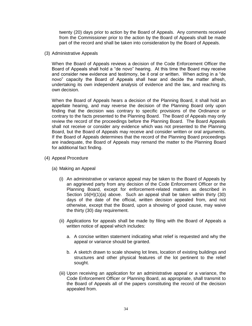twenty (20) days prior to action by the Board of Appeals. Any comments received from the Commissioner prior to the action by the Board of Appeals shall be made part of the record and shall be taken into consideration by the Board of Appeals.

(3) Administrative Appeals

When the Board of Appeals reviews a decision of the Code Enforcement Officer the Board of Appeals shall hold a "de novo" hearing. At this time the Board may receive and consider new evidence and testimony, be it oral or written. When acting in a "de novo" capacity the Board of Appeals shall hear and decide the matter afresh, undertaking its own independent analysis of evidence and the law, and reaching its own decision.

When the Board of Appeals hears a decision of the Planning Board, it shall hold an appellate hearing, and may reverse the decision of the Planning Board only upon finding that the decision was contrary to specific provisions of the Ordinance or contrary to the facts presented to the Planning Board. The Board of Appeals may only review the record of the proceedings before the Planning Board. The Board Appeals shall not receive or consider any evidence which was not presented to the Planning Board, but the Board of Appeals may receive and consider written or oral arguments. If the Board of Appeals determines that the record of the Planning Board proceedings are inadequate, the Board of Appeals may remand the matter to the Planning Board for additional fact finding.

- (4) Appeal Procedure
	- (a) Making an Appeal
		- (i) An administrative or variance appeal may be taken to the Board of Appeals by an aggrieved party from any decision of the Code Enforcement Officer or the Planning Board, except for enforcement-related matters as described in Section 16(H)(1)(a) above. Such an appeal shall be taken within thirty (30) days of the date of the official, written decision appealed from, and not otherwise, except that the Board, upon a showing of good cause, may waive the thirty (30) day requirement.
		- (ii) Applications for appeals shall be made by filing with the Board of Appeals a written notice of appeal which includes:
			- a. A concise written statement indicating what relief is requested and why the appeal or variance should be granted.
			- b. A sketch drawn to scale showing lot lines, location of existing buildings and structures and other physical features of the lot pertinent to the relief sought.
		- (iii) Upon receiving an application for an administrative appeal or a variance, the Code Enforcement Officer or Planning Board, as appropriate, shall transmit to the Board of Appeals all of the papers constituting the record of the decision appealed from.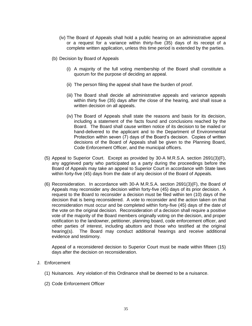- (iv) The Board of Appeals shall hold a public hearing on an administrative appeal or a request for a variance within thirty-five (35) days of its receipt of a complete written application, unless this time period is extended by the parties.
- (b) Decision by Board of Appeals
	- (i) A majority of the full voting membership of the Board shall constitute a quorum for the purpose of deciding an appeal.
	- (ii) The person filing the appeal shall have the burden of proof.
	- (iii) The Board shall decide all administrative appeals and variance appeals within thirty five (35) days after the close of the hearing, and shall issue a written decision on all appeals.
	- (iv) The Board of Appeals shall state the reasons and basis for its decision, including a statement of the facts found and conclusions reached by the Board. The Board shall cause written notice of its decision to be mailed or hand-delivered to the applicant and to the Department of Environmental Protection within seven (7) days of the Board's decision. Copies of written decisions of the Board of Appeals shall be given to the Planning Board, Code Enforcement Officer, and the municipal officers.
- (5) Appeal to Superior Court. Except as provided by 30-A M.R.S.A. section 2691(3)(F), any aggrieved party who participated as a party during the proceedings before the Board of Appeals may take an appeal to Superior Court in accordance with State laws within forty-five (45) days from the date of any decision of the Board of Appeals.
- (6) Reconsideration. In accordance with 30-A M.R.S.A. section 2691(3)(F), the Board of Appeals may reconsider any decision within forty-five (45) days of its prior decision. A request to the Board to reconsider a decision must be filed within ten (10) days of the decision that is being reconsidered. A vote to reconsider and the action taken on that reconsideration must occur and be completed within forty-five (45) days of the date of the vote on the original decision. Reconsideration of a decision shall require a positive vote of the majority of the Board members originally voting on the decision, and proper notification to the landowner, petitioner, planning board, code enforcement officer, and other parties of interest, including abuttors and those who testified at the original hearing(s). The Board may conduct additional hearings and receive additional evidence and testimony.

Appeal of a reconsidered decision to Superior Court must be made within fifteen (15) days after the decision on reconsideration.

- J. Enforcement
	- (1) Nuisances. Any violation of this Ordinance shall be deemed to be a nuisance.
	- (2) Code Enforcement Officer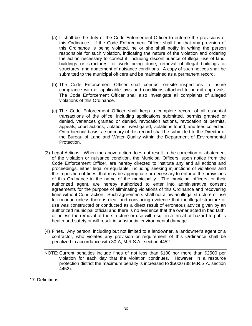- (a) It shall be the duty of the Code Enforcement Officer to enforce the provisions of this Ordinance. If the Code Enforcement Officer shall find that any provision of this Ordinance is being violated, he or she shall notify in writing the person responsible for such violation, indicating the nature of the violation and ordering the action necessary to correct it, including discontinuance of illegal use of land, buildings or structures, or work being done, removal of illegal buildings or structures, and abatement of nuisance conditions. A copy of such notices shall be submitted to the municipal officers and be maintained as a permanent record.
- (b) The Code Enforcement Officer shall conduct on-site inspections to insure compliance with all applicable laws and conditions attached to permit approvals. The Code Enforcement Officer shall also investigate all complaints of alleged violations of this Ordinance.
- (c) The Code Enforcement Officer shall keep a complete record of all essential transactions of the office, including applications submitted, permits granted or denied, variances granted or denied, revocation actions, revocation of permits, appeals, court actions, violations investigated, violations found, and fees collected. On a biennial basis, a summary of this record shall be submitted to the Director of the Bureau of Land and Water Quality within the Department of Environmental Protection.
- (3) Legal Actions. When the above action does not result in the correction or abatement of the violation or nuisance condition, the Municipal Officers, upon notice from the Code Enforcement Officer, are hereby directed to institute any and all actions and proceedings, either legal or equitable, including seeking injunctions of violations and the imposition of fines, that may be appropriate or necessary to enforce the provisions of this Ordinance in the name of the municipality. The municipal officers, or their authorized agent, are hereby authorized to enter into administrative consent agreements for the purpose of eliminating violations of this Ordinance and recovering fines without Court action. Such agreements shall not allow an illegal structure or use to continue unless there is clear and convincing evidence that the illegal structure or use was constructed or conducted as a direct result of erroneous advice given by an authorized municipal official and there is no evidence that the owner acted in bad faith, or unless the removal of the structure or use will result in a threat or hazard to public health and safety or will result in substantial environmental damage.
- (4) Fines. Any person, including but not limited to a landowner, a landowner's agent or a contractor, who violates any provision or requirement of this Ordinance shall be penalized in accordance with 30-A, M.R.S.A. section 4452.
- NOTE: Current penalties include fines of not less than \$100 nor more than \$2500 per violation for each day that the violation continues. However, in a resource protection district the maximum penalty is increased to \$5000 (38 M.R.S.A. section 4452).

17. Definitions.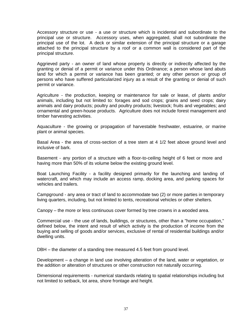Accessory structure or use - a use or structure which is incidental and subordinate to the principal use or structure. Accessory uses, when aggregated, shall not subordinate the principal use of the lot. A deck or similar extension of the principal structure or a garage attached to the principal structure by a roof or a common wall is considered part of the principal structure.

Aggrieved party - an owner of land whose property is directly or indirectly affected by the granting or denial of a permit or variance under this Ordinance; a person whose land abuts land for which a permit or variance has been granted; or any other person or group of persons who have suffered particularized injury as a result of the granting or denial of such permit or variance.

Agriculture - the production, keeping or maintenance for sale or lease, of plants and/or animals, including but not limited to: forages and sod crops; grains and seed crops; dairy animals and dairy products; poultry and poultry products; livestock; fruits and vegetables; and ornamental and green-house products. Agriculture does not include forest management and timber harvesting activities.

Aquaculture - the growing or propagation of harvestable freshwater, estuarine, or marine plant or animal species.

Basal Area - the area of cross-section of a tree stem at 4 1/2 feet above ground level and inclusive of bark.

Basement - any portion of a structure with a floor-to-ceiling height of 6 feet or more and having more than 50% of its volume below the existing ground level.

Boat Launching Facility - a facility designed primarily for the launching and landing of watercraft, and which may include an access ramp, docking area, and parking spaces for vehicles and trailers.

Campground - any area or tract of land to accommodate two (2) or more parties in temporary living quarters, including, but not limited to tents, recreational vehicles or other shelters.

Canopy – the more or less continuous cover formed by tree crowns in a wooded area.

Commercial use - the use of lands, buildings, or structures, other than a "home occupation," defined below, the intent and result of which activity is the production of income from the buying and selling of goods and/or services, exclusive of rental of residential buildings and/or dwelling units.

DBH – the diameter of a standing tree measured 4.5 feet from ground level.

Development – a change in land use involving alteration of the land, water or vegetation, or the addition or alteration of structures or other construction not naturally occurring.

Dimensional requirements - numerical standards relating to spatial relationships including but not limited to setback, lot area, shore frontage and height.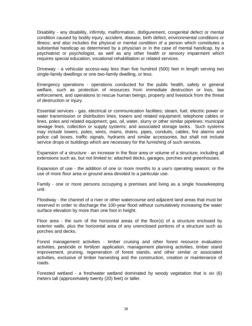Disability - any disability, infirmity, malformation, disfigurement, congenital defect or mental condition caused by bodily injury, accident, disease, birth defect, environmental conditions or illness; and also includes the physical or mental condition of a person which constitutes a substantial handicap as determined by a physician or in the case of mental handicap, by a psychiatrist or psychologist, as well as any other health or sensory impairment which requires special education, vocational rehabilitation or related services.

Driveway - a vehicular access-way less than five hundred (500) feet in length serving two single-family dwellings or one two-family dwelling, or less.

Emergency operations - operations conducted for the public health, safety or general welfare, such as protection of resources from immediate destruction or loss, law enforcement, and operations to rescue human beings, property and livestock from the threat of destruction or injury.

Essential services - gas, electrical or communication facilities; steam, fuel, electric power or water transmission or distribution lines, towers and related equipment; telephone cables or lines, poles and related equipment; gas, oil, water, slurry or other similar pipelines; municipal sewage lines, collection or supply systems; and associated storage tanks. Such systems may include towers, poles, wires, mains, drains, pipes, conduits, cables, fire alarms and police call boxes, traffic signals, hydrants and similar accessories, but shall not include service drops or buildings which are necessary for the furnishing of such services.

Expansion of a structure - an increase in the floor area or volume of a structure, including all extensions such as, but not limited to: attached decks, garages, porches and greenhouses.

Expansion of use - the addition of one or more months to a use's operating season; or the use of more floor area or ground area devoted to a particular use.

Family - one or more persons occupying a premises and living as a single housekeeping unit.

Floodway - the channel of a river or other watercourse and adjacent land areas that must be reserved in order to discharge the 100-year flood without cumulatively increasing the water surface elevation by more than one foot in height.

Floor area - the sum of the horizontal areas of the floor(s) of a structure enclosed by exterior walls, plus the horizontal area of any unenclosed portions of a structure such as porches and decks.

Forest management activities - timber cruising and other forest resource evaluation activities, pesticide or fertilizer application, management planning activities, timber stand improvement, pruning, regeneration of forest stands, and other similar or associated activities, exclusive of timber harvesting and the construction, creation or maintenance of roads.

Forested wetland - a freshwater wetland dominated by woody vegetation that is six (6) meters tall (approximately twenty (20) feet) or taller.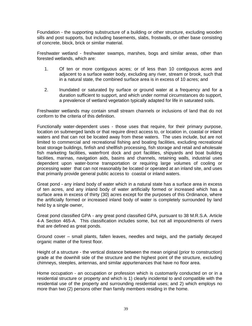Foundation - the supporting substructure of a building or other structure, excluding wooden sills and post supports, but including basements, slabs, frostwalls, or other base consisting of concrete, block, brick or similar material.

Freshwater wetland - freshwater swamps, marshes, bogs and similar areas, other than forested wetlands, which are:

- 1. Of ten or more contiguous acres; or of less than 10 contiguous acres and adjacent to a surface water body, excluding any river, stream or brook, such that in a natural state, the combined surface area is in excess of 10 acres; and
- 2. Inundated or saturated by surface or ground water at a frequency and for a duration sufficient to support, and which under normal circumstances do support, a prevalence of wetland vegetation typically adapted for life in saturated soils.

Freshwater wetlands may contain small stream channels or inclusions of land that do not conform to the criteria of this definition.

Functionally water-dependent uses - those uses that require, for their primary purpose, location on submerged lands or that require direct access to, or location in, coastal or inland waters and that can not be located away from these waters. The uses include, but are not limited to commercial and recreational fishing and boating facilities, excluding recreational boat storage buildings, finfish and shellfish processing, fish storage and retail and wholesale fish marketing facilities, waterfront dock and port facilities, shipyards and boat building facilities, marinas, navigation aids, basins and channels, retaining walls, industrial uses dependent upon water-borne transportation or requiring large volumes of cooling or processing water that can not reasonably be located or operated at an inland site, and uses that primarily provide general public access to coastal or inland waters.

Great pond - any inland body of water which in a natural state has a surface area in excess of ten acres, and any inland body of water artificially formed or increased which has a surface area in excess of thirty (30) acres except for the purposes of this Ordinance, where the artificially formed or increased inland body of water is completely surrounded by land held by a single owner,

Great pond classified GPA - any great pond classified GPA, pursuant to 38 M.R.S.A. Article 4-A Section 465-A. This classification includes some, but not all impoundments of rivers that are defined as great ponds.

Ground cover – small plants, fallen leaves, needles and twigs, and the partially decayed organic matter of the forest floor.

Height of a structure - the vertical distance between the mean original (prior to construction) grade at the downhill side of the structure and the highest point of the structure, excluding chimneys, steeples, antennas, and similar appurtenances that have no floor area.

Home occupation - an occupation or profession which is customarily conducted on or in a residential structure or property and which is 1) clearly incidental to and compatible with the residential use of the property and surrounding residential uses; and 2) which employs no more than two (2) persons other than family members residing in the home.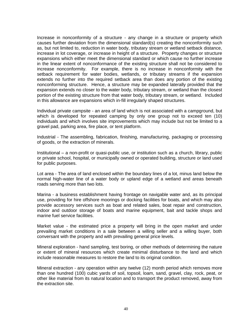Increase in nonconformity of a structure - any change in a structure or property which causes further deviation from the dimensional standard(s) creating the nonconformity such as, but not limited to, reduction in water body, tributary stream or wetland setback distance, increase in lot coverage, or increase in height of a structure. Property changes or structure expansions which either meet the dimensional standard or which cause no further increase in the linear extent of nonconformance of the existing structure shall not be considered to increase nonconformity. For example, there is no increase in nonconformity with the setback requirement for water bodies, wetlands, or tributary streams if the expansion extends no further into the required setback area than does any portion of the existing nonconforming structure. Hence, a structure may be expanded laterally provided that the expansion extends no closer to the water body, tributary stream, or wetland than the closest portion of the existing structure from that water body, tributary stream, or wetland. Included in this allowance are expansions which in-fill irregularly shaped structures.

Individual private campsite - an area of land which is not associated with a campground, but which is developed for repeated camping by only one group not to exceed ten (10) individuals and which involves site improvements which may include but not be limited to a gravel pad, parking area, fire place, or tent platform.

Industrial - The assembling, fabrication, finishing, manufacturing, packaging or processing of goods, or the extraction of minerals.

Institutional – a non-profit or quasi-public use, or institution such as a church, library, public or private school, hospital, or municipally owned or operated building, structure or land used for public purposes.

Lot area - The area of land enclosed within the boundary lines of a lot, minus land below the normal high-water line of a water body or upland edge of a wetland and areas beneath roads serving more than two lots.

Marina - a business establishment having frontage on navigable water and, as its principal use, providing for hire offshore moorings or docking facilities for boats, and which may also provide accessory services such as boat and related sales, boat repair and construction, indoor and outdoor storage of boats and marine equipment, bait and tackle shops and marine fuel service facilities.

Market value - the estimated price a property will bring in the open market and under prevailing market conditions in a sale between a willing seller and a willing buyer, both conversant with the property and with prevailing general price levels.

Mineral exploration - hand sampling, test boring, or other methods of determining the nature or extent of mineral resources which create minimal disturbance to the land and which include reasonable measures to restore the land to its original condition.

Mineral extraction - any operation within any twelve (12) month period which removes more than one hundred (100) cubic yards of soil, topsoil, loam, sand, gravel, clay, rock, peat, or other like material from its natural location and to transport the product removed, away from the extraction site.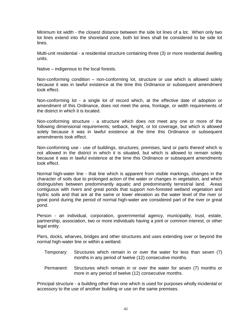Minimum lot width - the closest distance between the side lot lines of a lot. When only two lot lines extend into the shoreland zone, both lot lines shall be considered to be side lot lines.

Multi-unit residential - a residential structure containing three (3) or more residential dwelling units.

Native – indigenous to the local forests.

Non-conforming condition – non-conforming lot, structure or use which is allowed solely because it was in lawful existence at the time this Ordinance or subsequent amendment took effect.

Non-conforming lot - a single lot of record which, at the effective date of adoption or amendment of this Ordinance, does not meet the area, frontage, or width requirements of the district in which it is located.

Non-conforming structure - a structure which does not meet any one or more of the following dimensional requirements; setback, height, or lot coverage, but which is allowed solely because it was in lawful existence at the time this Ordinance or subsequent amendments took effect.

Non-conforming use - use of buildings, structures, premises, land or parts thereof which is not allowed in the district in which it is situated, but which is allowed to remain solely because it was in lawful existence at the time this Ordinance or subsequent amendments took effect.

Normal high-water line - that line which is apparent from visible markings, changes in the character of soils due to prolonged action of the water or changes in vegetation, and which distinguishes between predominantly aquatic and predominantly terrestrial land. Areas contiguous with rivers and great ponds that support non-forested wetland vegetation and hydric soils and that are at the same or lower elevation as the water level of the river or great pond during the period of normal high-water are considered part of the river or great pond.

Person - an individual, corporation, governmental agency, municipality, trust, estate, partnership, association, two or more individuals having a joint or common interest, or other legal entity.

Piers, docks, wharves, bridges and other structures and uses extending over or beyond the normal high-water line or within a wetland.

- Temporary: Structures which remain in or over the water for less than seven (7) months in any period of twelve (12) consecutive months.
- Permanent: Structures which remain in or over the water for seven (7) months or more in any period of twelve (12) consecutive months.

Principal structure - a building other than one which is used for purposes wholly incidental or accessory to the use of another building or use on the same premises.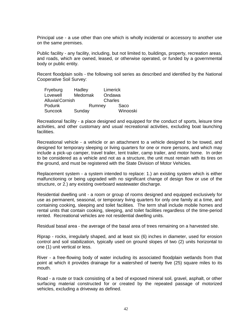Principal use - a use other than one which is wholly incidental or accessory to another use on the same premises.

Public facility - any facility, including, but not limited to, buildings, property, recreation areas, and roads, which are owned, leased, or otherwise operated, or funded by a governmental body or public entity.

Recent floodplain soils - the following soil series as described and identified by the National Cooperative Soil Survey:

| Fryeburg                | Hadley  |         | Limerick |  |
|-------------------------|---------|---------|----------|--|
| Lovewell                | Medomak |         | Ondawa   |  |
| <b>Alluvial Cornish</b> |         | Charles |          |  |
| Podunk                  | Rumney  |         | Saco     |  |
| Suncook                 | Sunday  |         | Winooski |  |

Recreational facility - a place designed and equipped for the conduct of sports, leisure time activities, and other customary and usual recreational activities, excluding boat launching facilities.

Recreational vehicle - a vehicle or an attachment to a vehicle designed to be towed, and designed for temporary sleeping or living quarters for one or more persons, and which may include a pick-up camper, travel trailer, tent trailer, camp trailer, and motor home. In order to be considered as a vehicle and not as a structure, the unit must remain with its tires on the ground, and must be registered with the State Division of Motor Vehicles.

Replacement system - a system intended to replace: 1.) an existing system which is either malfunctioning or being upgraded with no significant change of design flow or use of the structure, or 2.) any existing overboard wastewater discharge.

Residential dwelling unit - a room or group of rooms designed and equipped exclusively for use as permanent, seasonal, or temporary living quarters for only one family at a time, and containing cooking, sleeping and toilet facilities. The term shall include mobile homes and rental units that contain cooking, sleeping, and toilet facilities regardless of the time-period rented. Recreational vehicles are not residential dwelling units.

Residual basal area - the average of the basal area of trees remaining on a harvested site.

Riprap - rocks, irregularly shaped, and at least six (6) inches in diameter, used for erosion control and soil stabilization, typically used on ground slopes of two (2) units horizontal to one (1) unit vertical or less.

River - a free-flowing body of water including its associated floodplain wetlands from that point at which it provides drainage for a watershed of twenty five (25) square miles to its mouth.

Road - a route or track consisting of a bed of exposed mineral soil, gravel, asphalt, or other surfacing material constructed for or created by the repeated passage of motorized vehicles, excluding a driveway as defined.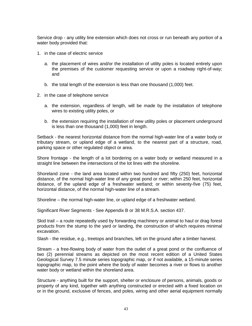Service drop - any utility line extension which does not cross or run beneath any portion of a water body provided that:

- 1. in the case of electric service
	- a. the placement of wires and/or the installation of utility poles is located entirely upon the premises of the customer requesting service or upon a roadway right-of-way; and
	- b. the total length of the extension is less than one thousand (1,000) feet.
- 2. in the case of telephone service
	- a. the extension, regardless of length, will be made by the installation of telephone wires to existing utility poles, or
	- b. the extension requiring the installation of new utility poles or placement underground is less than one thousand (1,000) feet in length.

Setback - the nearest horizontal distance from the normal high-water line of a water body or tributary stream, or upland edge of a wetland, to the nearest part of a structure, road, parking space or other regulated object or area.

Shore frontage - the length of a lot bordering on a water body or wetland measured in a straight line between the intersections of the lot lines with the shoreline.

Shoreland zone - the land area located within two hundred and fifty (250) feet, horizontal distance, of the normal high-water line of any great pond or river; within 250 feet, horizontal distance, of the upland edge of a freshwater wetland; or within seventy-five (75) feet, horizontal distance, of the normal high-water line of a stream.

Shoreline – the normal high-water line, or upland edge of a freshwater wetland.

Significant River Segments - See Appendix B or 38 M.R.S.A. section 437.

Skid trail – a route repeatedly used by forwarding machinery or animal to haul or drag forest products from the stump to the yard or landing, the construction of which requires minimal excavation.

Slash - the residue, e.g., treetops and branches, left on the ground after a timber harvest.

Stream - a free-flowing body of water from the outlet of a great pond or the confluence of two (2) perennial streams as depicted on the most recent edition of a United States Geological Survey 7.5 minute series topographic map, or if not available, a 15-minute series topographic map, to the point where the body of water becomes a river or flows to another water body or wetland within the shoreland area.

Structure - anything built for the support, shelter or enclosure of persons, animals, goods or property of any kind, together with anything constructed or erected with a fixed location on or in the ground, exclusive of fences, and poles, wiring and other aerial equipment normally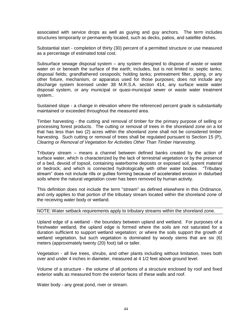associated with service drops as well as guying and guy anchors. The term includes structures temporarily or permanently located, such as decks, patios, and satellite dishes.

Substantial start - completion of thirty (30) percent of a permitted structure or use measured as a percentage of estimated total cost.

Subsurface sewage disposal system – any system designed to dispose of waste or waste water on or beneath the surface of the earth; includes, but is not limited to: septic tanks; disposal fields; grandfathered cesspools; holding tanks; pretreatment filter, piping, or any other fixture, mechanism, or apparatus used for those purposes; does not include any discharge system licensed under 38 M.R.S.A. section 414, any surface waste water disposal system, or any municipal or quasi-municipal sewer or waste water treatment system..

Sustained slope - a change in elevation where the referenced percent grade is substantially maintained or exceeded throughout the measured area.

Timber harvesting - the cutting and removal of timber for the primary purpose of selling or processing forest products. The cutting or removal of trees in the shoreland zone on a lot that has less than two (2) acres within the shoreland zone shall not be considered timber harvesting. Such cutting or removal of trees shall be regulated pursuant to Section 15 (P), *Clearing or Removal of Vegetation for Activities Other Than Timber Harvesting*.

Tributary stream – means a channel between defined banks created by the action of surface water, which is characterized by the lack of terrestrial vegetation or by the presence of a bed, devoid of topsoil, containing waterborne deposits or exposed soil, parent material or bedrock; and which is connected hydrologically with other water bodies. "Tributary stream" does not include rills or gullies forming because of accelerated erosion in disturbed soils where the natural vegetation cover has been removed by human activity.

This definition does not include the term "stream" as defined elsewhere in this Ordinance, and only applies to that portion of the tributary stream located within the shoreland zone of the receiving water body or wetland.

NOTE: Water setback requirements apply to tributary streams within the shoreland zone.

Upland edge of a wetland - the boundary between upland and wetland. For purposes of a freshwater wetland, the upland edge is formed where the soils are not saturated for a duration sufficient to support wetland vegetation; or where the soils support the growth of wetland vegetation, but such vegetation is dominated by woody stems that are six (6) meters (approximately twenty (20) foot) tall or taller.

Vegetation - all live trees, shrubs, and other plants including without limitation, trees both over and under 4 inches in diameter, measured at 4 1/2 feet above ground level.

Volume of a structure - the volume of all portions of a structure enclosed by roof and fixed exterior walls as measured from the exterior faces of these walls and roof.

Water body - any great pond, river or stream.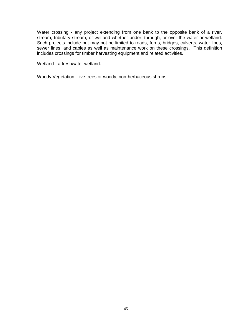Water crossing - any project extending from one bank to the opposite bank of a river, stream, tributary stream, or wetland whether under, through, or over the water or wetland. Such projects include but may not be limited to roads, fords, bridges, culverts, water lines, sewer lines, and cables as well as maintenance work on these crossings. This definition includes crossings for timber harvesting equipment and related activities.

Wetland - a freshwater wetland.

Woody Vegetation - live trees or woody, non-herbaceous shrubs.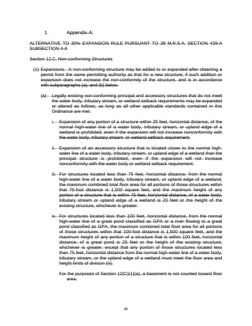1. Appendix A:

#### ALTERNATIVE TO 30% EXPANSION RULE PURSUANT TO 38 M.R.S.A. SECTION 439-A SUBSECTION 4-A

Section 12.C. Non-conforming Structures

- (1) Expansions. A non-conforming structure may be added to or expanded after obtaining a permit from the same permitting authority as that for a new structure, if such addition or expansion does not increase the non-conformity of the structure, and is in accordance with subparagraphs (a), and (b) below.
	- (a) Legally existing non-conforming principal and accessory structures that do not meet the water body, tributary stream, or wetland setback requirements may be expanded or altered as follows, as long as all other applicable standards contained in this Ordinance are met.
		- i. Expansion of any portion of a structure within 25 feet, horizontal distance, of the normal high-water line of a water body, tributary stream, or upland edge of a wetland is prohibited, even if the expansion will not increase nonconformity with the water body, tributary stream or wetland setback requirement.
		- ii. Expansion of an accessory structure that is located closer to the normal highwater line of a water body, tributary stream, or upland edge of a wetland than the principal structure is prohibited, even if the expansion will not increase nonconformity with the water body or wetland setback requirement.
		- iii. For structures located less than 75 feet, horizontal distance, from the normal high-water line of a water body, tributary stream, or upland edge of a wetland, the maximum combined total floor area for all portions of those structures within that 75-foot distance is 1,000 square feet, and the maximum height of any portion of a structure that is within 75 feet, horizontal distance, of a water body, tributary stream or upland edge of a wetland is 20 feet or the height of the existing structure, whichever is greater.
		- iv. For structures located less than 100 feet, horizontal distance, from the normal high-water line of a great pond classified as GPA or a river flowing to a great pond classified as GPA, the maximum combined total floor area for all portions of those structures within that 100-foot distance is 1,500 square feet, and the maximum height of any portion of a structure that is within 100 feet, horizontal distance, of a great pond is 25 feet or the height of the existing structure, whichever is greater, except that any portion of those structures located less than 75 feet, horizontal distance from the normal high-water line of a water body, tributary stream, or the upland edge of a wetland must meet the floor area and height limits of division (iii).
			- For the purposes of Section 12(C)(1)(a), a basement is not counted toward floor area.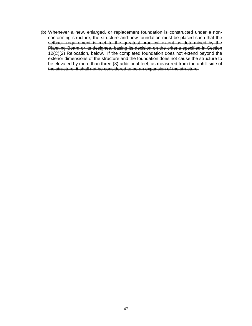(b) Whenever a new, enlarged, or replacement foundation is constructed under a nonconforming structure, the structure and new foundation must be placed such that the setback requirement is met to the greatest practical extent as determined by the Planning Board or its designee, basing its decision on the criteria specified in Section 12(C)(2) Relocation, below. If the completed foundation does not extend beyond the exterior dimensions of the structure and the foundation does not cause the structure to be elevated by more than three (3) additional feet, as measured from the uphill side of the structure, it shall not be considered to be an expansion of the structure.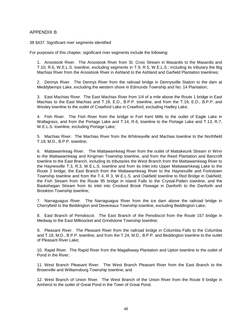#### APPENDIX B

38 §437. Significant river segments identified

For purposes of this chapter, significant river segments include the following:

1. Aroostook River. The Aroostook River from St. Croix Stream in Masardis to the Masardis and T.10, R.6, W.E.L.S. townline, excluding segments in T.9, R.5, W.E.L.S.; including its tributary the Big Machias River from the Aroostook River in Ashland to the Ashland and Garfield Plantation townlines;

2. Dennys River. The Dennys River from the railroad bridge in Dennysville Station to the dam at Meddybemps Lake, excluding the western shore in Edmunds Township and No. 14 Plantation;

3. East Machias River. The East Machias River from 1/4 of a mile above the Route 1 bridge in East Machias to the East Machias and T.18, E.D., B.P.P. townline, and from the T.19, E.D., B.P.P. and Wesley townline to the outlet of Crawford Lake in Crawford, excluding Hadley Lake;

4. Fish River. The Fish River from the bridge in Fort Kent Mills to the outlet of Eagle Lake in Wallagrass, and from the Portage Lake and T.14, R.6, townline to the Portage Lake and T.13, R.7, W.E.L.S. townline, excluding Portage Lake;

5. Machias River. The Machias River from the Whitneyville and Machias townline to the Northfield T.19, M.D., B.P.P. townline;

6. Mattawamkeag River. The Mattawamkeag River from the outlet of Mattakeunk Stream in Winn to the Mattawamkeag and Kingman Township townline, and from the Reed Plantation and Bancroft townline to the East Branch, including its tributaries the West Branch from the Mattawamkeag River to the Haynesville T.3, R.3, W.E.L.S. townline and from its inlet into Upper Mattawamkeag Lake to the Route 2 bridge; the East Branch from the Mattawamkeag River to the Haynesville and Forkstown Township townline and from the T.4, R 3, W.E.L.S. and Oakfield townline to Red Bridge in Oakfield; the Fish Stream from the Route 95 bridge in Island Falls to the Crystal-Patten townline; and the Baskehegan Stream from its inlet into Crooked Brook Flowage in Danforth to the Danforth and Brookton Township townline;

7. Narraguagus River. The Narraguagus River from the ice dam above the railroad bridge in Cherryfield to the Beddington and Devereaux Township townline, excluding Beddington Lake;

8. East Branch of Penobscot. The East Branch of the Penobscot from the Route 157 bridge in Medway to the East Millinocket and Grindstone Township townline;

9. Pleasant River. The Pleasant River from the railroad bridge in Columbia Falls to the Columbia and T.18, M.D., B.P.P. townline, and from the T.24, M.D., B.P.P. and Beddington townline to the outlet of Pleasant River Lake;

10. Rapid River. The Rapid River from the Magalloway Plantation and Upton townline to the outlet of Pond in the River;

11. West Branch Pleasant River. The West Branch Pleasant River from the East Branch to the Brownville and Williamsburg Township townline; and

12. West Branch of Union River. The West Branch of the Union River from the Route 9 bridge in Amherst to the outlet of Great Pond in the Town of Great Pond.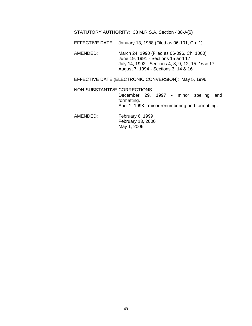#### STATUTORY AUTHORITY: 38 M.R.S.A. Section 438-A(5)

EFFECTIVE DATE: January 13, 1988 (Filed as 06-101, Ch. 1)

AMENDED: March 24, 1990 (Filed as 06-096, Ch. 1000) June 19, 1991 - Sections 15 and 17 July 14, 1992 - Sections 4, 8, 9, 12, 15, 16 & 17 August 7, 1994 - Sections 3, 14 & 16

EFFECTIVE DATE (ELECTRONIC CONVERSION): May 5, 1996

NON-SUBSTANTIVE CORRECTIONS:

December 29, 1997 - minor spelling and formatting. April 1, 1998 - minor renumbering and formatting.

AMENDED: February 6, 1999 February 13, 2000 May 1, 2006